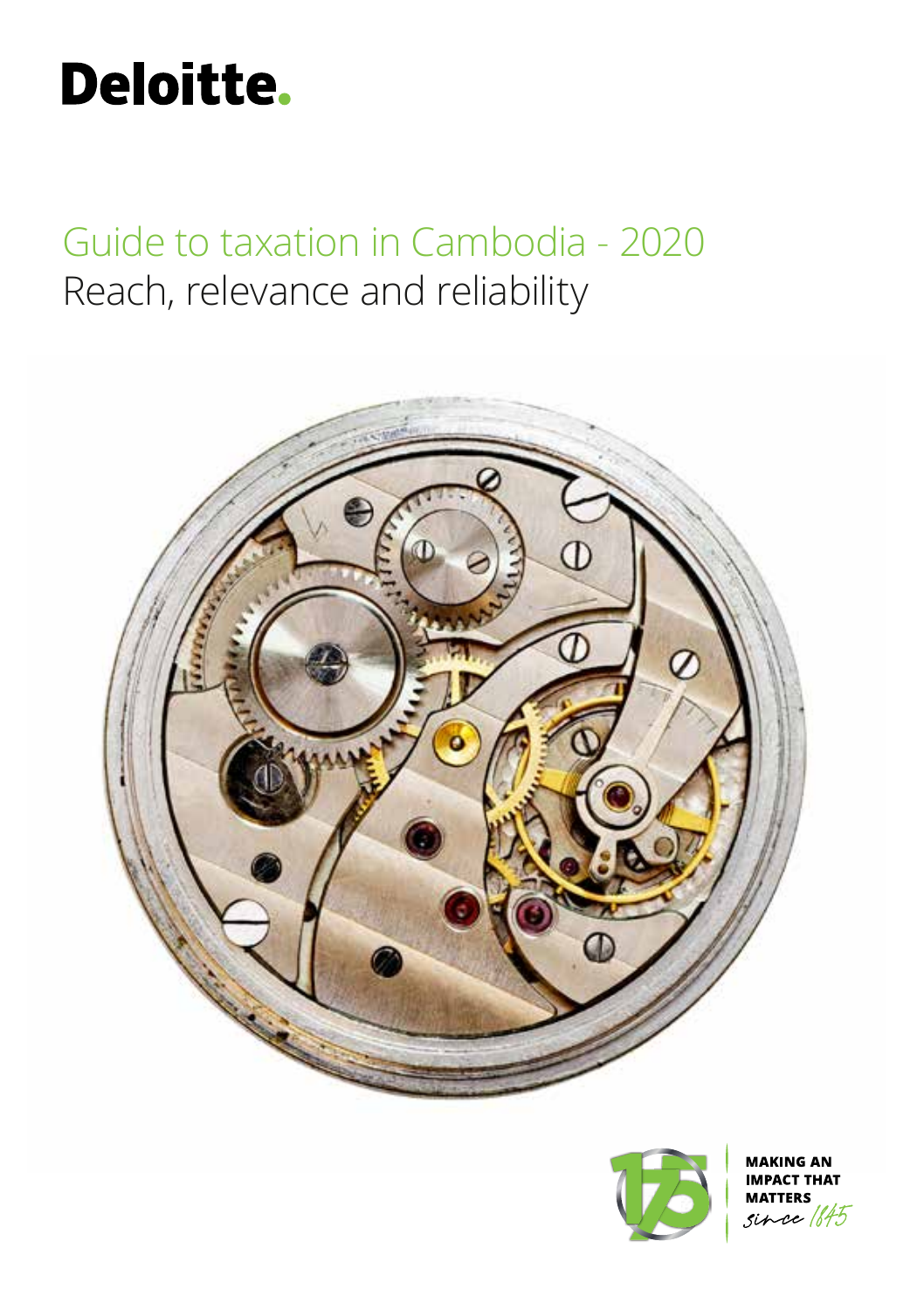# **Deloitte.**

Guide to taxation in Cambodia - 2020 Reach, relevance and reliability





**NG AN THAT** 坏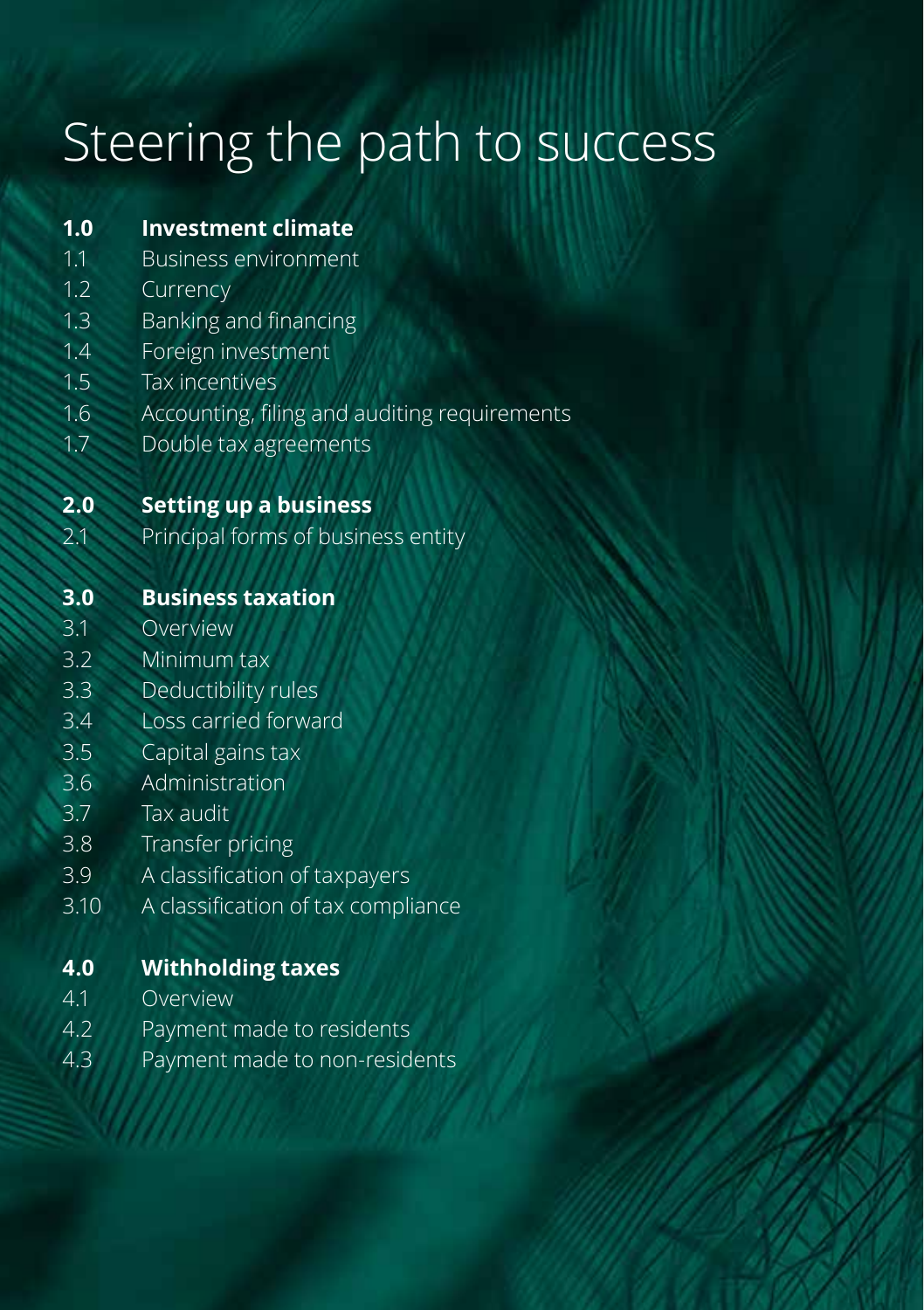# Steering the path to success

| 1.0  | <b>Investment climate</b>                    |
|------|----------------------------------------------|
| 1.1  | <b>Business environment</b>                  |
| 1.2  | Currency                                     |
| 1.3  | Banking and financing                        |
| 1.4  | Foreign investment                           |
| 1.5  | <b>Tax incentives</b>                        |
| 1.6  | Accounting, filing and auditing requirements |
| 1.7  | Double tax agreements                        |
| 2.0  | <b>Setting up a business</b>                 |
| 2.1  | Principal forms of business entity           |
|      |                                              |
| 3.0  | <b>Business taxation</b>                     |
| 3.1  | Overview                                     |
| 3.2  | Minimum tax                                  |
| 3.3  | Deductibility rules                          |
| 3.4  | Loss carried forward                         |
| 3.5  | Capital gains tax                            |
| 3.6  | Administration                               |
| 3.7  | Tax audit                                    |
| 3.8  | Transfer pricing                             |
| 3.9  | A classification of taxpayers                |
| 3.10 | A classification of tax compliance           |
| 4.0  | <b>Withholding taxes</b>                     |
| 4.1  | Overview                                     |
| 4.2  | Payment made to residents                    |
| 4.3  | Payment made to non-residents                |
|      |                                              |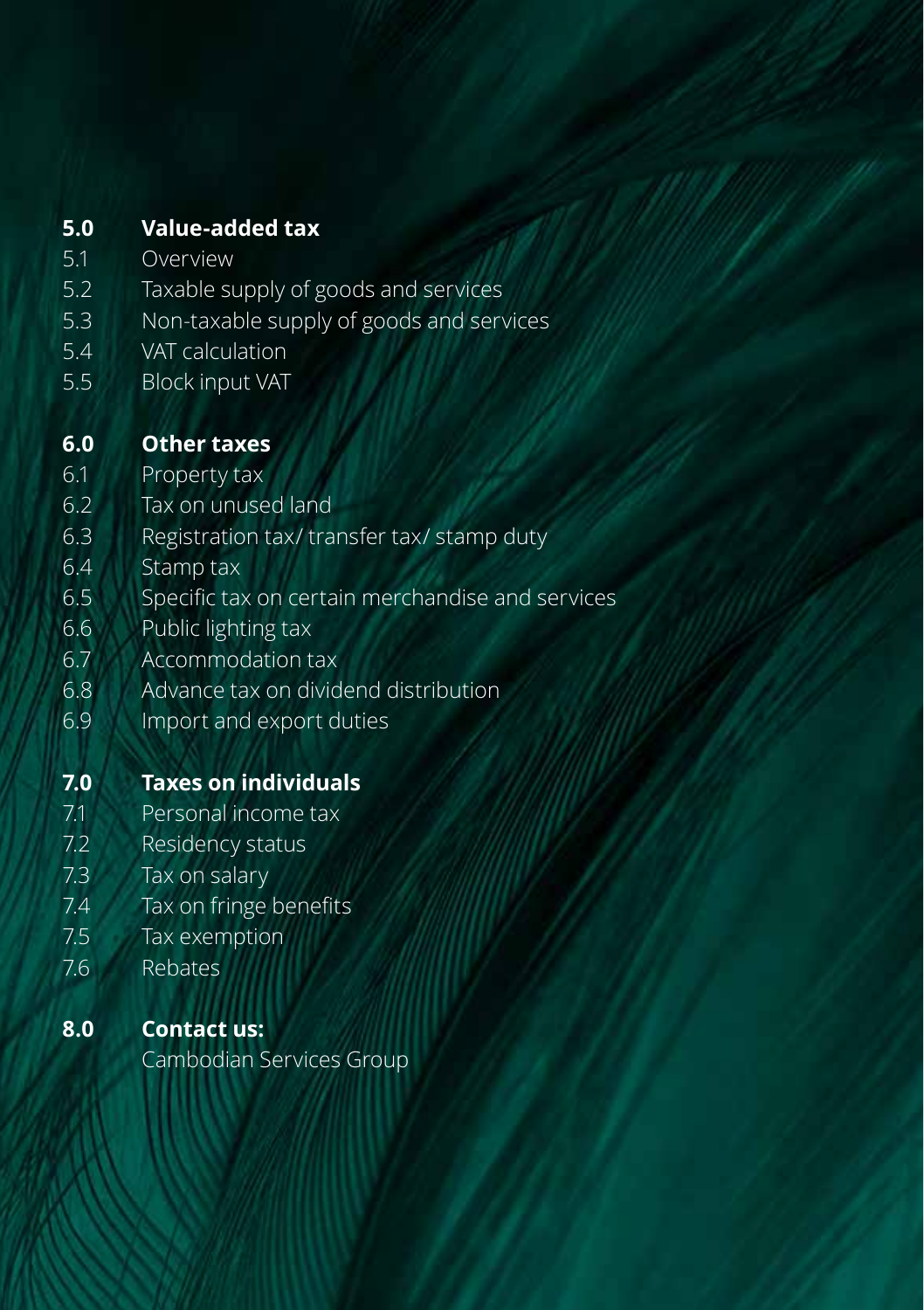# **5.0 Value-added tax**

- 5.1 Overview
- 5.2 Taxable supply of goods and services
- 5.3 Non-taxable supply of goods and services
- 5.4 VAT calculation
- 5.5 Block input VAT

# **6.0 Other taxes**

- 6.1 Property tax
- 6.2 Tax on unused land
- 6.3 Registration tax/ transfer tax/ stamp duty
- 6.4 Stamp tax
- 6.5 Specific tax on certain merchandise and services
- 6.6 Public lighting tax
- 6.7 Accommodation tax
- 6.8 Advance tax on dividend distribution
- 6.9 Import and export duties

# **7.0 Taxes on individuals**

- 7.1 Personal income tax
- 7.2 Residency status
- 7.3 Tax on salary
- 7.4 Tax on fringe benefits
- 7.5 Tax exemption
- 7.6 Rebates

# **8.0 Contact us:**

Cambodian Services Group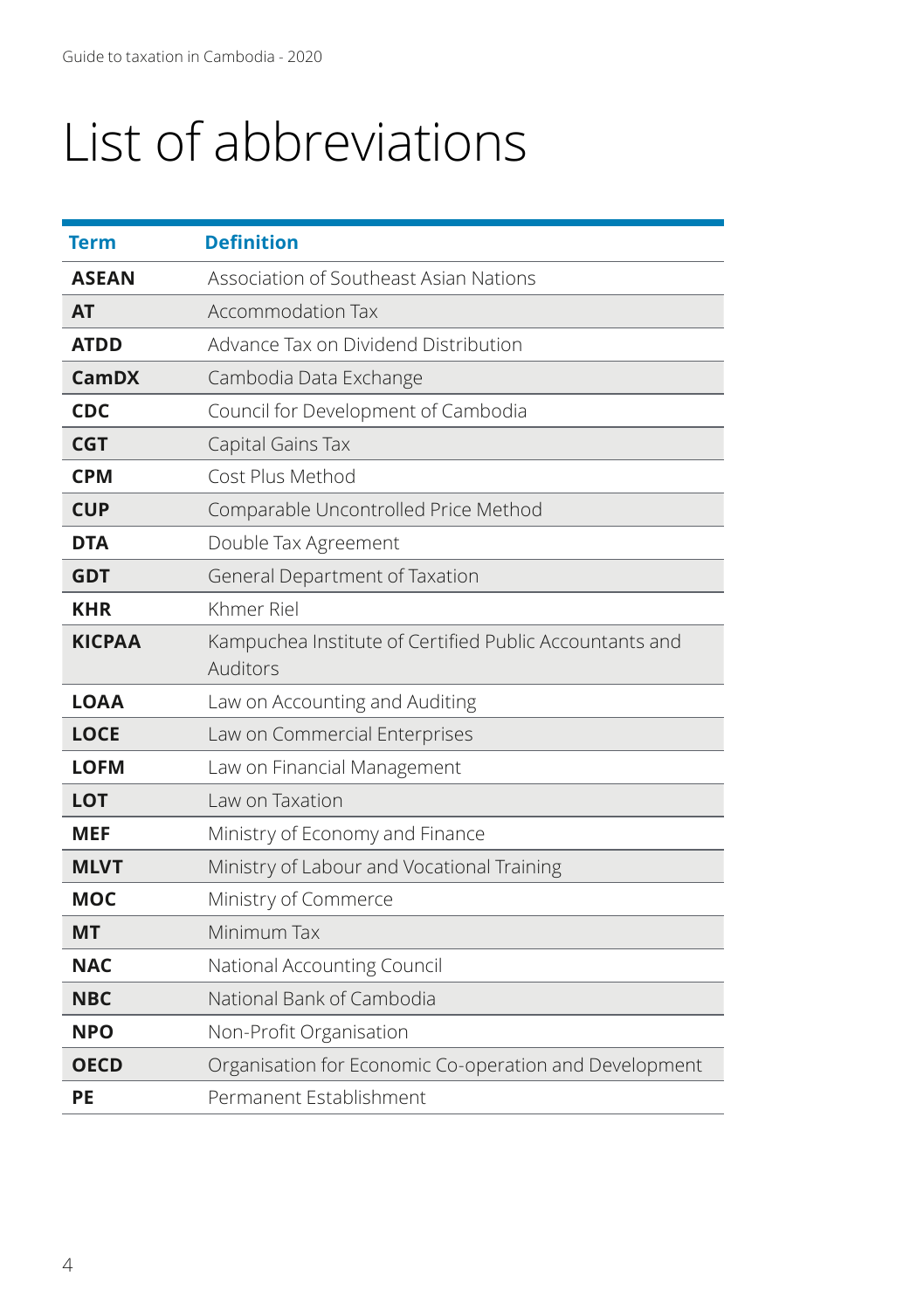# List of abbreviations

| Term          | <b>Definition</b>                                                   |
|---------------|---------------------------------------------------------------------|
| <b>ASEAN</b>  | Association of Southeast Asian Nations                              |
| <b>AT</b>     | <b>Accommodation Tax</b>                                            |
| <b>ATDD</b>   | Advance Tax on Dividend Distribution                                |
| <b>CamDX</b>  | Cambodia Data Exchange                                              |
| <b>CDC</b>    | Council for Development of Cambodia                                 |
| <b>CGT</b>    | Capital Gains Tax                                                   |
| <b>CPM</b>    | Cost Plus Method                                                    |
| <b>CUP</b>    | Comparable Uncontrolled Price Method                                |
| <b>DTA</b>    | Double Tax Agreement                                                |
| <b>GDT</b>    | General Department of Taxation                                      |
| <b>KHR</b>    | Khmer Riel                                                          |
| <b>KICPAA</b> | Kampuchea Institute of Certified Public Accountants and<br>Auditors |
| <b>LOAA</b>   | Law on Accounting and Auditing                                      |
| <b>LOCE</b>   | Law on Commercial Enterprises                                       |
| <b>LOFM</b>   | Law on Financial Management                                         |
| LOT           | Law on Taxation                                                     |
| MEF           | Ministry of Economy and Finance                                     |
| <b>MLVT</b>   | Ministry of Labour and Vocational Training                          |
| <b>MOC</b>    | Ministry of Commerce                                                |
| <b>MT</b>     | Minimum Tax                                                         |
| <b>NAC</b>    | National Accounting Council                                         |
| <b>NBC</b>    | National Bank of Cambodia                                           |
| <b>NPO</b>    | Non-Profit Organisation                                             |
| <b>OECD</b>   | Organisation for Economic Co-operation and Development              |
| PE            | Permanent Establishment                                             |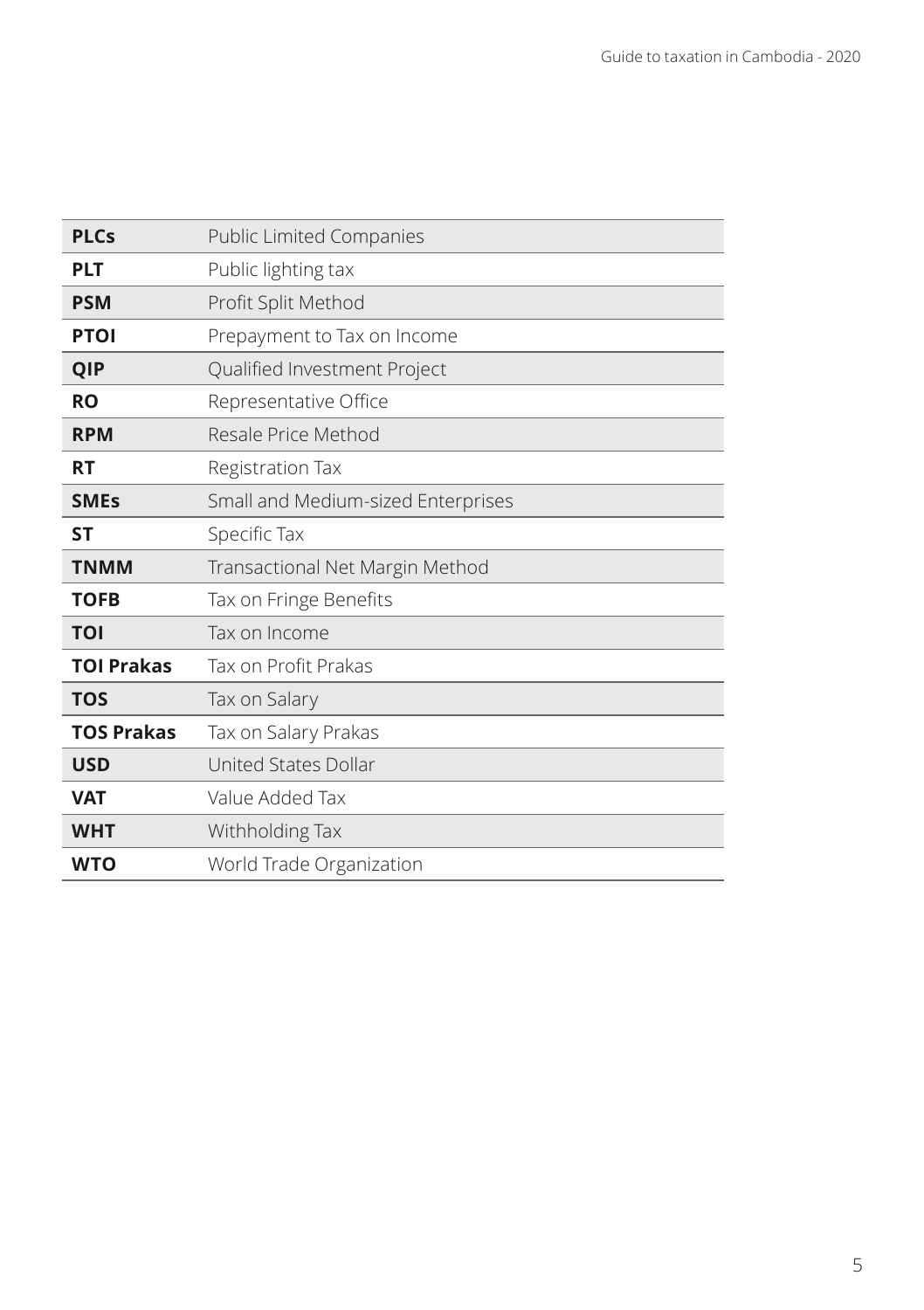| <b>PLCs</b>       | <b>Public Limited Companies</b>    |
|-------------------|------------------------------------|
| <b>PLT</b>        | Public lighting tax                |
| <b>PSM</b>        | Profit Split Method                |
| <b>PTOI</b>       | Prepayment to Tax on Income        |
| QIP               | Qualified Investment Project       |
| <b>RO</b>         | Representative Office              |
| <b>RPM</b>        | Resale Price Method                |
| <b>RT</b>         | Registration Tax                   |
| <b>SMEs</b>       | Small and Medium-sized Enterprises |
| SΤ                | Specific Tax                       |
|                   |                                    |
| <b>TNMM</b>       | Transactional Net Margin Method    |
| <b>TOFB</b>       | Tax on Fringe Benefits             |
| TOI               | Tax on Income                      |
| <b>TOI Prakas</b> | Tax on Profit Prakas               |
| <b>TOS</b>        | Tax on Salary                      |
| <b>TOS Prakas</b> | Tax on Salary Prakas               |
| <b>USD</b>        | United States Dollar               |
| <b>VAT</b>        | Value Added Tax                    |
| <b>WHT</b>        | Withholding Tax                    |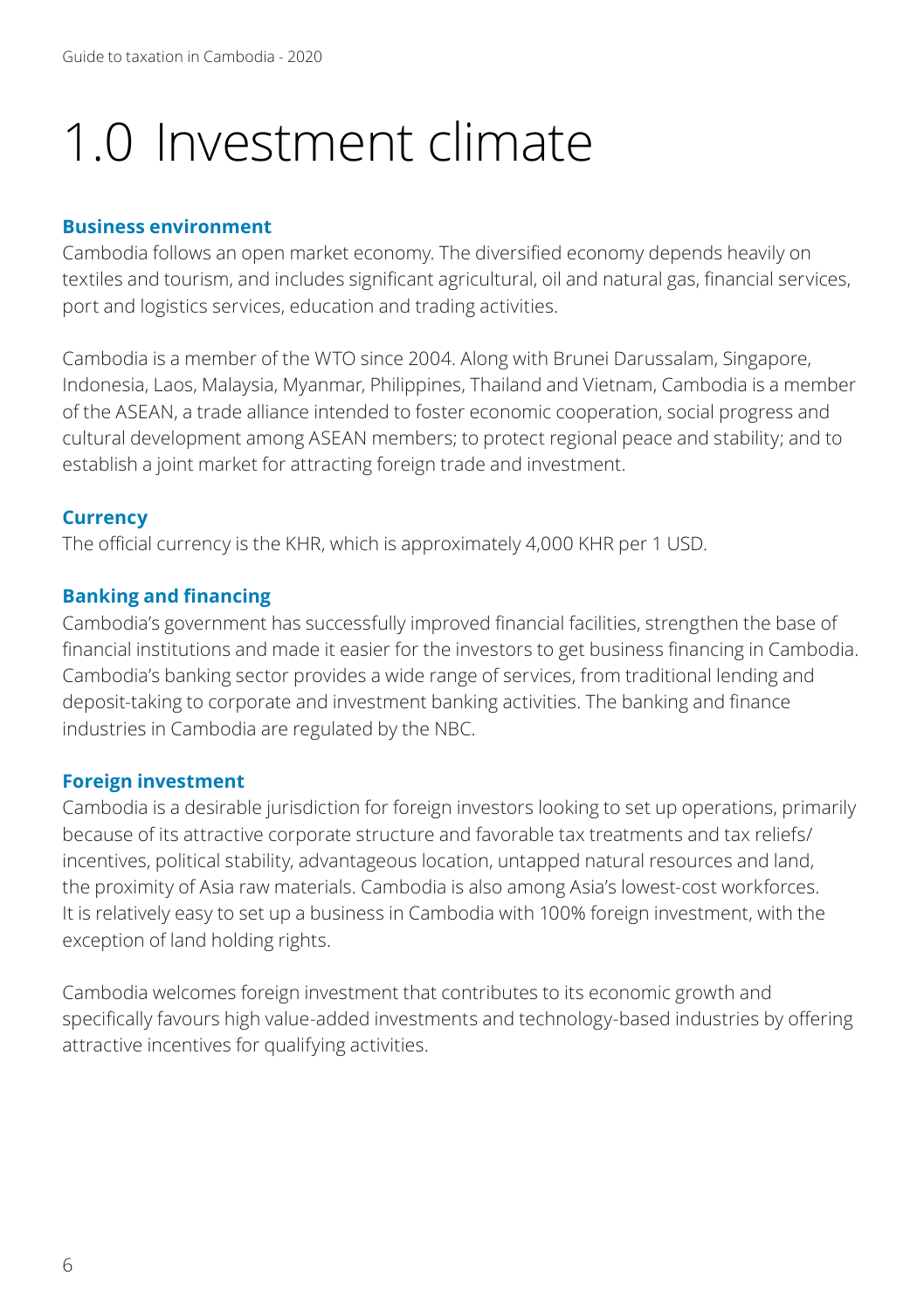# 1.0 Investment climate

#### **Business environment**

Cambodia follows an open market economy. The diversified economy depends heavily on textiles and tourism, and includes significant agricultural, oil and natural gas, financial services, port and logistics services, education and trading activities.

Cambodia is a member of the WTO since 2004. Along with Brunei Darussalam, Singapore, Indonesia, Laos, Malaysia, Myanmar, Philippines, Thailand and Vietnam, Cambodia is a member of the ASEAN, a trade alliance intended to foster economic cooperation, social progress and cultural development among ASEAN members; to protect regional peace and stability; and to establish a joint market for attracting foreign trade and investment.

#### **Currency**

The official currency is the KHR, which is approximately 4,000 KHR per 1 USD.

#### **Banking and financing**

Cambodia's government has successfully improved financial facilities, strengthen the base of financial institutions and made it easier for the investors to get business financing in Cambodia. Cambodia's banking sector provides a wide range of services, from traditional lending and deposit-taking to corporate and investment banking activities. The banking and finance industries in Cambodia are regulated by the NBC.

#### **Foreign investment**

Cambodia is a desirable jurisdiction for foreign investors looking to set up operations, primarily because of its attractive corporate structure and favorable tax treatments and tax reliefs/ incentives, political stability, advantageous location, untapped natural resources and land, the proximity of Asia raw materials. Cambodia is also among Asia's lowest-cost workforces. It is relatively easy to set up a business in Cambodia with 100% foreign investment, with the exception of land holding rights.

Cambodia welcomes foreign investment that contributes to its economic growth and specifically favours high value-added investments and technology-based industries by offering attractive incentives for qualifying activities.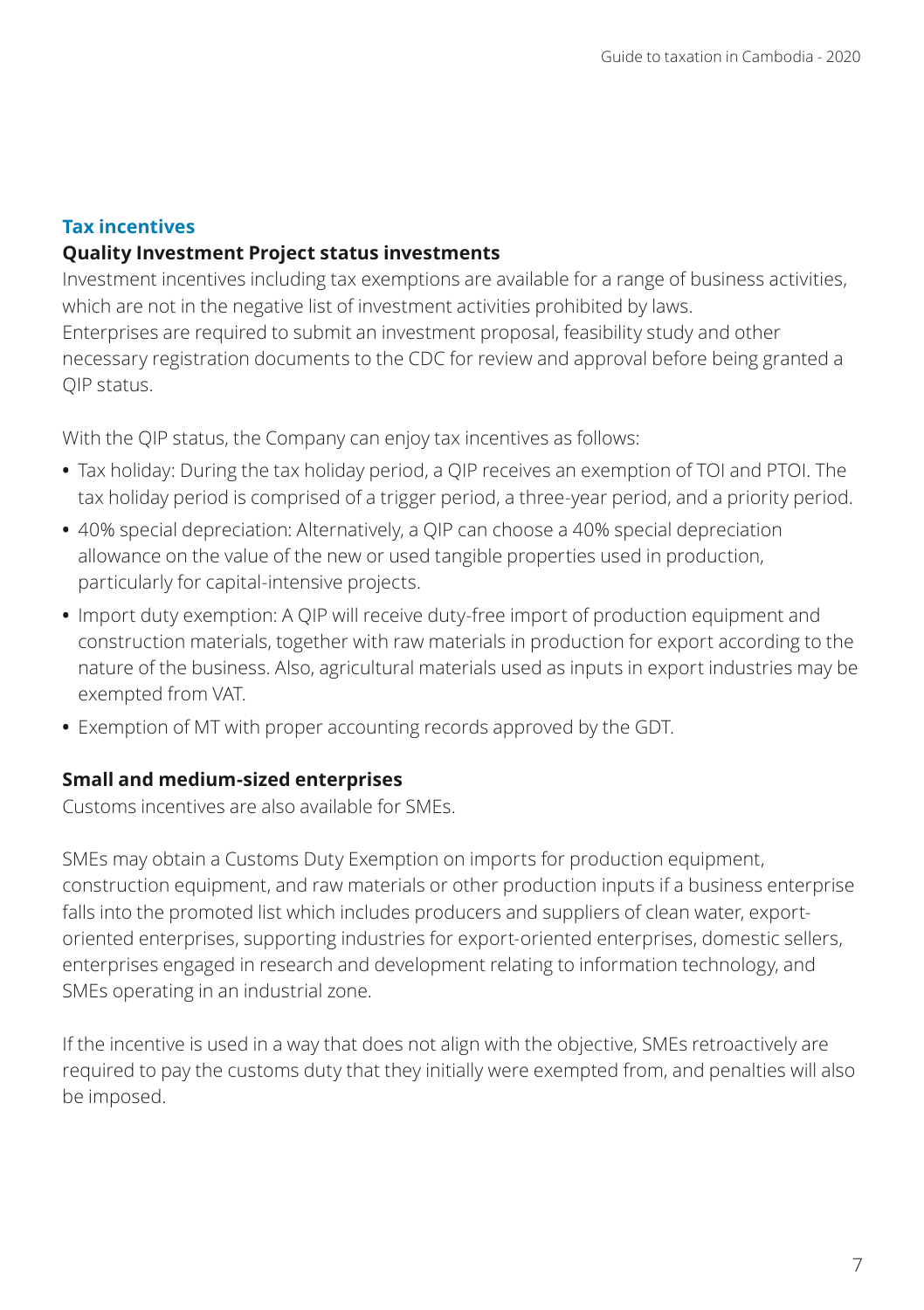# **Tax incentives**

# **Quality Investment Project status investments**

Investment incentives including tax exemptions are available for a range of business activities, which are not in the negative list of investment activities prohibited by laws. Enterprises are required to submit an investment proposal, feasibility study and other necessary registration documents to the CDC for review and approval before being granted a QIP status.

With the QIP status, the Company can enjoy tax incentives as follows:

- **•** Tax holiday: During the tax holiday period, a QIP receives an exemption of TOI and PTOI. The tax holiday period is comprised of a trigger period, a three-year period, and a priority period.
- **•** 40% special depreciation: Alternatively, a QIP can choose a 40% special depreciation allowance on the value of the new or used tangible properties used in production, particularly for capital-intensive projects.
- **•** Import duty exemption: A QIP will receive duty-free import of production equipment and construction materials, together with raw materials in production for export according to the nature of the business. Also, agricultural materials used as inputs in export industries may be exempted from VAT.
- **•** Exemption of MT with proper accounting records approved by the GDT.

# **Small and medium-sized enterprises**

Customs incentives are also available for SMEs.

SMEs may obtain a Customs Duty Exemption on imports for production equipment, construction equipment, and raw materials or other production inputs if a business enterprise falls into the promoted list which includes producers and suppliers of clean water, exportoriented enterprises, supporting industries for export-oriented enterprises, domestic sellers, enterprises engaged in research and development relating to information technology, and SMEs operating in an industrial zone.

If the incentive is used in a way that does not align with the objective, SMEs retroactively are required to pay the customs duty that they initially were exempted from, and penalties will also be imposed.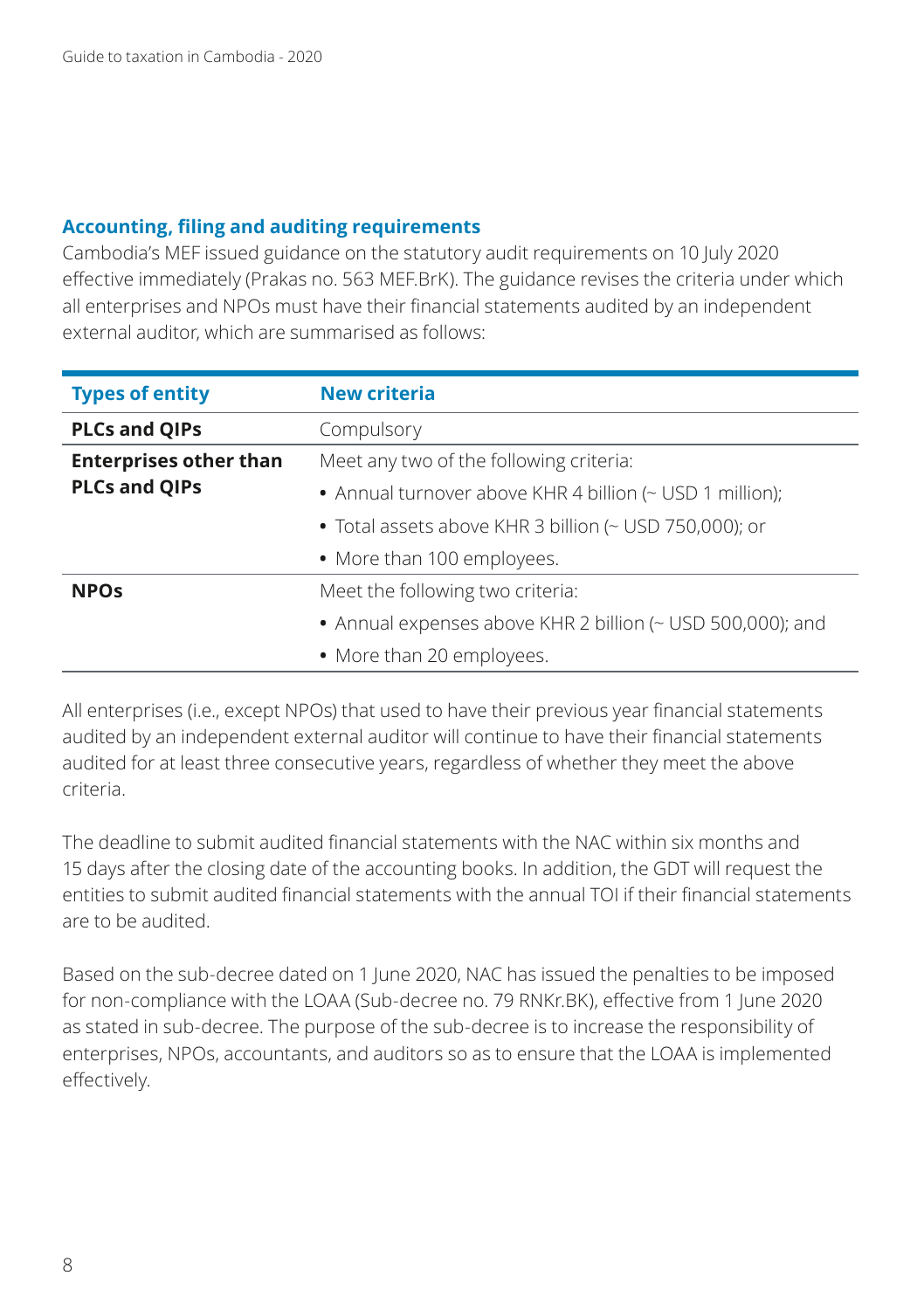#### **Accounting, filing and auditing requirements**

Cambodia's MEF issued guidance on the statutory audit requirements on 10 July 2020 effective immediately (Prakas no. 563 MEF.BrK). The guidance revises the criteria under which all enterprises and NPOs must have their financial statements audited by an independent external auditor, which are summarised as follows:

| <b>Types of entity</b>        | <b>New criteria</b>                                        |
|-------------------------------|------------------------------------------------------------|
| <b>PLCs and QIPs</b>          | Compulsory                                                 |
| <b>Enterprises other than</b> | Meet any two of the following criteria:                    |
| <b>PLCs and QIPs</b>          | • Annual turnover above KHR 4 billion (~ USD 1 million);   |
|                               | • Total assets above KHR 3 billion (~ USD 750,000); or     |
|                               | • More than 100 employees.                                 |
| <b>NPOs</b>                   | Meet the following two criteria:                           |
|                               | • Annual expenses above KHR 2 billion (~ USD 500,000); and |
|                               | • More than 20 employees.                                  |

All enterprises (i.e., except NPOs) that used to have their previous year financial statements audited by an independent external auditor will continue to have their financial statements audited for at least three consecutive years, regardless of whether they meet the above criteria.

The deadline to submit audited financial statements with the NAC within six months and 15 days after the closing date of the accounting books. In addition, the GDT will request the entities to submit audited financial statements with the annual TOI if their financial statements are to be audited.

Based on the sub-decree dated on 1 June 2020, NAC has issued the penalties to be imposed for non-compliance with the LOAA (Sub-decree no. 79 RNKr.BK), effective from 1 June 2020 as stated in sub-decree. The purpose of the sub-decree is to increase the responsibility of enterprises, NPOs, accountants, and auditors so as to ensure that the LOAA is implemented effectively.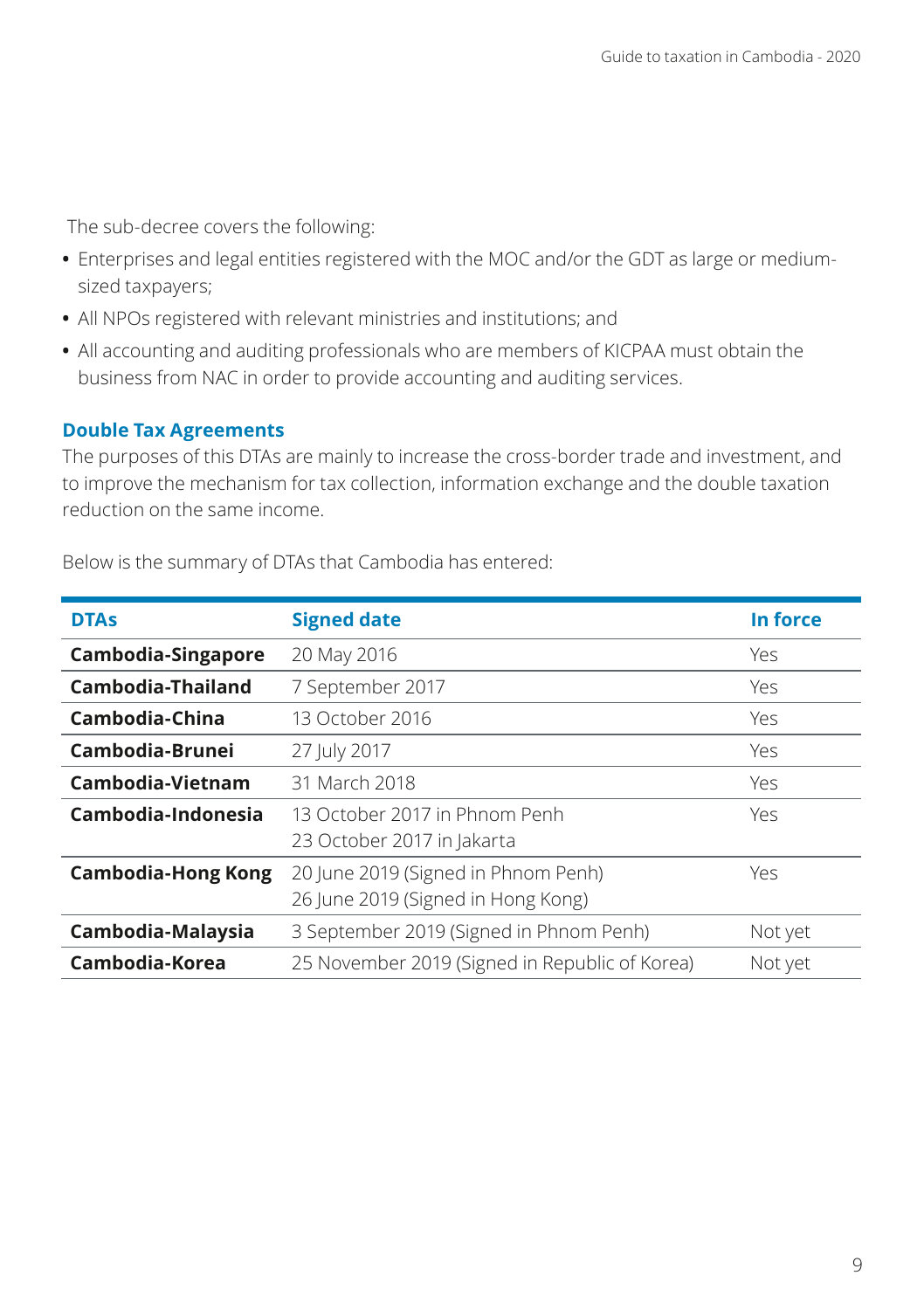The sub-decree covers the following:

- **•** Enterprises and legal entities registered with the MOC and/or the GDT as large or mediumsized taxpayers;
- **•** All NPOs registered with relevant ministries and institutions; and
- **•** All accounting and auditing professionals who are members of KICPAA must obtain the business from NAC in order to provide accounting and auditing services.

#### **Double Tax Agreements**

The purposes of this DTAs are mainly to increase the cross-border trade and investment, and to improve the mechanism for tax collection, information exchange and the double taxation reduction on the same income.

| <b>DTAs</b>               | <b>Signed date</b>                                                        | In force |
|---------------------------|---------------------------------------------------------------------------|----------|
| Cambodia-Singapore        | 20 May 2016                                                               | Yes      |
| Cambodia-Thailand         | 7 September 2017                                                          | Yes      |
| Cambodia-China            | 13 October 2016                                                           | Yes      |
| Cambodia-Brunei           | 27 July 2017                                                              | Yes      |
| Cambodia-Vietnam          | 31 March 2018                                                             | Yes      |
| Cambodia-Indonesia        | 13 October 2017 in Phnom Penh<br>23 October 2017 in Jakarta               | Yes      |
| <b>Cambodia-Hong Kong</b> | 20 June 2019 (Signed in Phnom Penh)<br>26 June 2019 (Signed in Hong Kong) | Yes      |
| Cambodia-Malaysia         | 3 September 2019 (Signed in Phnom Penh)                                   | Not yet  |
| Cambodia-Korea            | 25 November 2019 (Signed in Republic of Korea)                            | Not yet  |

Below is the summary of DTAs that Cambodia has entered: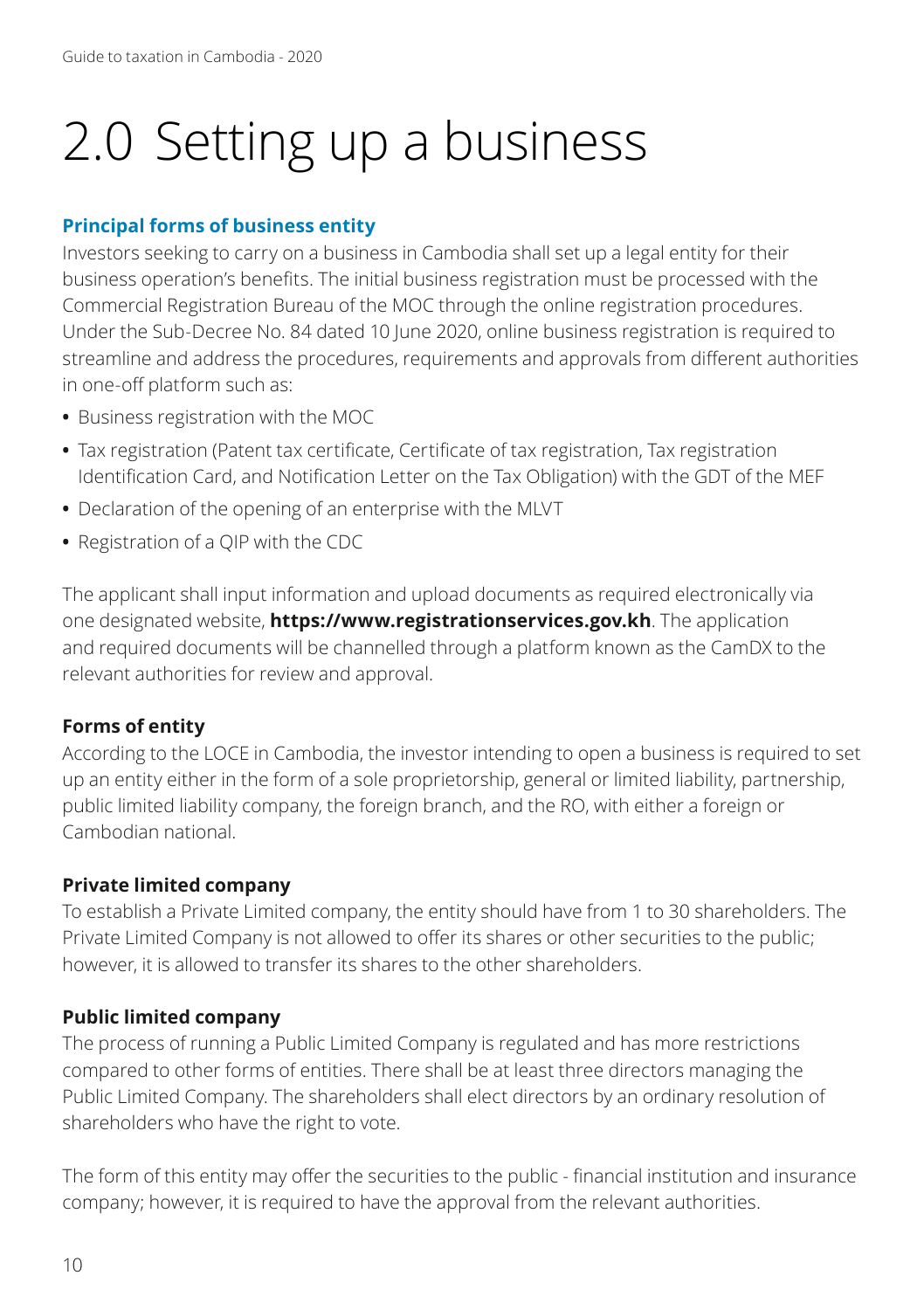# 2.0 Setting up a business

# **Principal forms of business entity**

Investors seeking to carry on a business in Cambodia shall set up a legal entity for their business operation's benefits. The initial business registration must be processed with the Commercial Registration Bureau of the MOC through the online registration procedures. Under the Sub-Decree No. 84 dated 10 June 2020, online business registration is required to streamline and address the procedures, requirements and approvals from different authorities in one-off platform such as:

- **•** Business registration with the MOC
- **•** Tax registration (Patent tax certificate, Certificate of tax registration, Tax registration Identification Card, and Notification Letter on the Tax Obligation) with the GDT of the MEF
- **•** Declaration of the opening of an enterprise with the MLVT
- **•** Registration of a QIP with the CDC

The applicant shall input information and upload documents as required electronically via one designated website, **https://www.registrationservices.gov.kh**. The application and required documents will be channelled through a platform known as the CamDX to the relevant authorities for review and approval.

# **Forms of entity**

According to the LOCE in Cambodia, the investor intending to open a business is required to set up an entity either in the form of a sole proprietorship, general or limited liability, partnership, public limited liability company, the foreign branch, and the RO, with either a foreign or Cambodian national.

# **Private limited company**

To establish a Private Limited company, the entity should have from 1 to 30 shareholders. The Private Limited Company is not allowed to offer its shares or other securities to the public; however, it is allowed to transfer its shares to the other shareholders.

# **Public limited company**

The process of running a Public Limited Company is regulated and has more restrictions compared to other forms of entities. There shall be at least three directors managing the Public Limited Company. The shareholders shall elect directors by an ordinary resolution of shareholders who have the right to vote.

The form of this entity may offer the securities to the public - financial institution and insurance company; however, it is required to have the approval from the relevant authorities.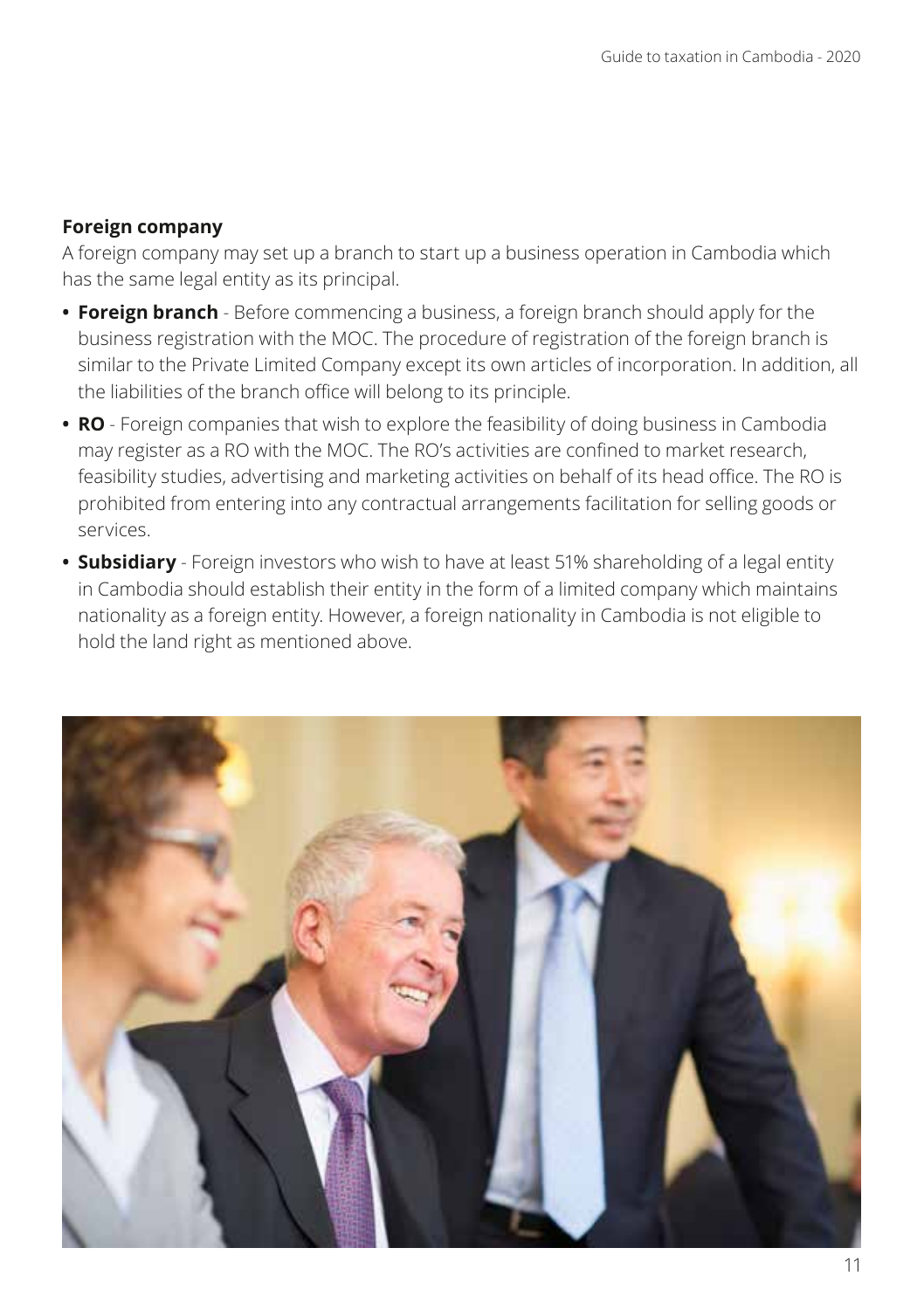#### **Foreign company**

A foreign company may set up a branch to start up a business operation in Cambodia which has the same legal entity as its principal.

- **• Foreign branch** Before commencing a business, a foreign branch should apply for the business registration with the MOC. The procedure of registration of the foreign branch is similar to the Private Limited Company except its own articles of incorporation. In addition, all the liabilities of the branch office will belong to its principle.
- **• RO** Foreign companies that wish to explore the feasibility of doing business in Cambodia may register as a RO with the MOC. The RO's activities are confined to market research, feasibility studies, advertising and marketing activities on behalf of its head office. The RO is prohibited from entering into any contractual arrangements facilitation for selling goods or services.
- **• Subsidiary** Foreign investors who wish to have at least 51% shareholding of a legal entity in Cambodia should establish their entity in the form of a limited company which maintains nationality as a foreign entity. However, a foreign nationality in Cambodia is not eligible to hold the land right as mentioned above.

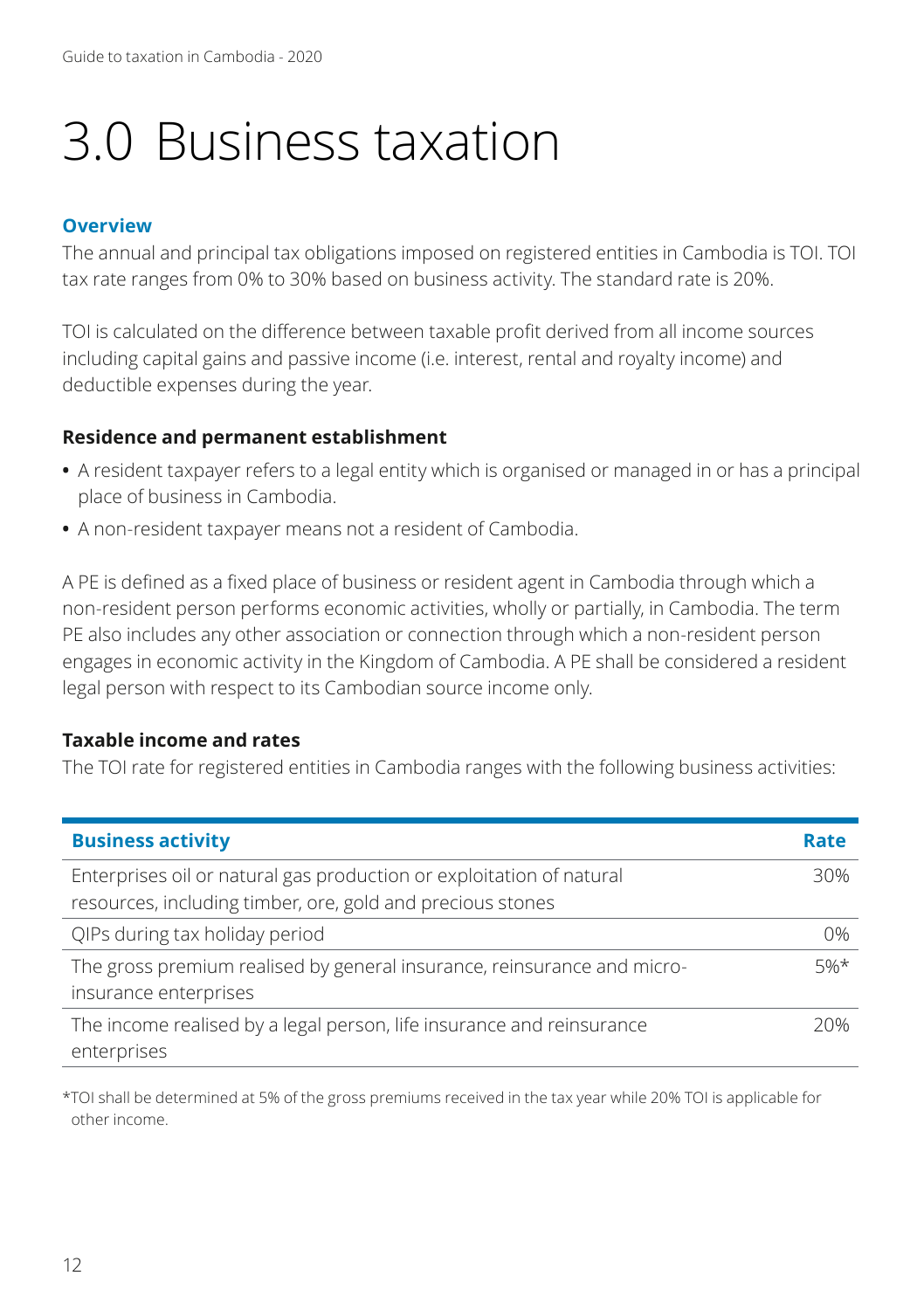# 3.0 Business taxation

#### **Overview**

The annual and principal tax obligations imposed on registered entities in Cambodia is TOI. TOI tax rate ranges from 0% to 30% based on business activity. The standard rate is 20%.

TOI is calculated on the difference between taxable profit derived from all income sources including capital gains and passive income (i.e. interest, rental and royalty income) and deductible expenses during the year.

#### **Residence and permanent establishment**

- **•** A resident taxpayer refers to a legal entity which is organised or managed in or has a principal place of business in Cambodia.
- **•** A non-resident taxpayer means not a resident of Cambodia.

A PE is defined as a fixed place of business or resident agent in Cambodia through which a non-resident person performs economic activities, wholly or partially, in Cambodia. The term PE also includes any other association or connection through which a non-resident person engages in economic activity in the Kingdom of Cambodia. A PE shall be considered a resident legal person with respect to its Cambodian source income only.

#### **Taxable income and rates**

The TOI rate for registered entities in Cambodia ranges with the following business activities:

| <b>Business activity</b>                                                                                                           | Rate   |
|------------------------------------------------------------------------------------------------------------------------------------|--------|
| Enterprises oil or natural gas production or exploitation of natural<br>resources, including timber, ore, gold and precious stones | 30%    |
| QIPs during tax holiday period                                                                                                     | 0%     |
| The gross premium realised by general insurance, reinsurance and micro-<br>insurance enterprises                                   | $5%$ * |
| The income realised by a legal person, life insurance and reinsurance<br>enterprises                                               | 20%    |

\*TOI shall be determined at 5% of the gross premiums received in the tax year while 20% TOI is applicable for other income.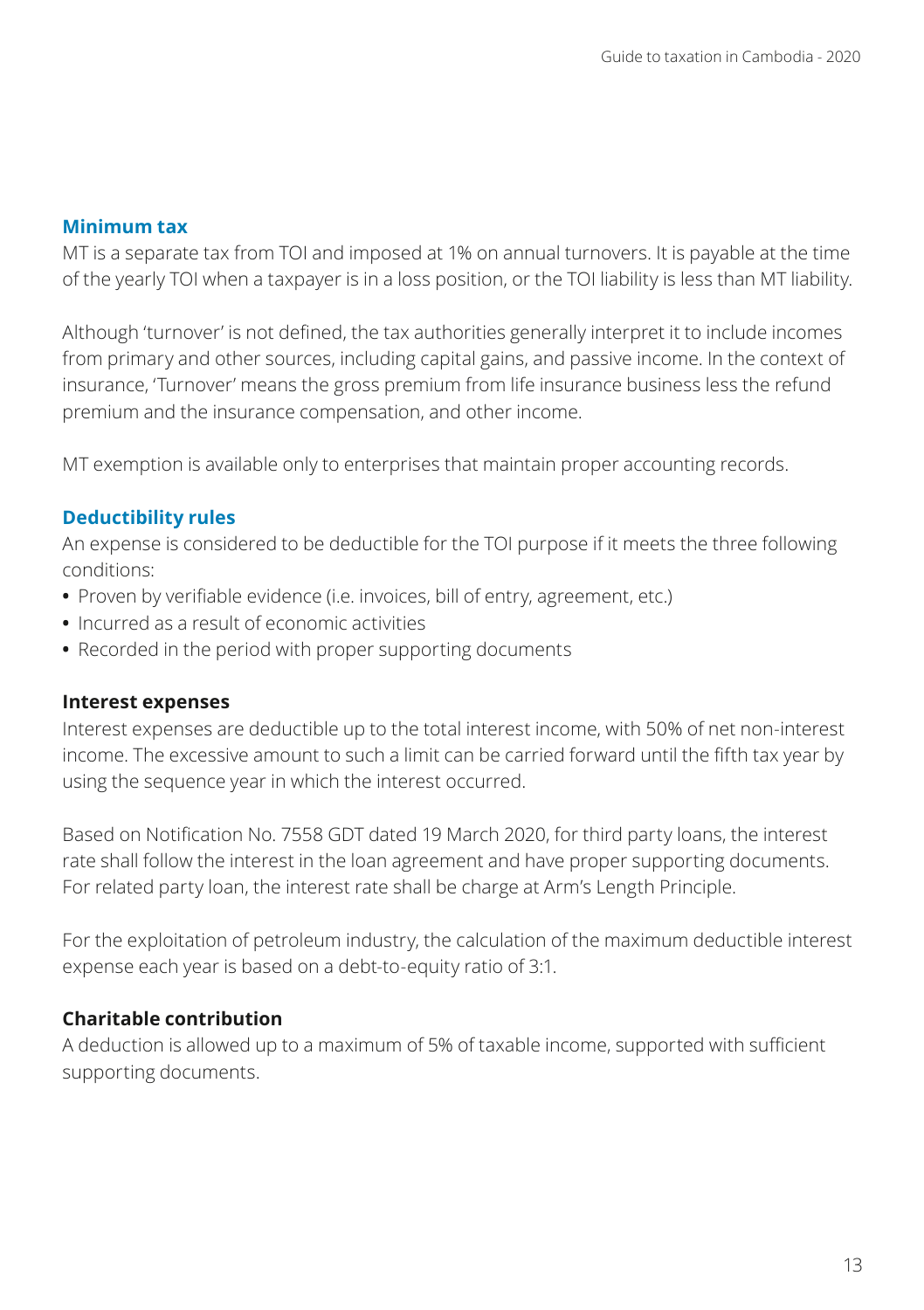#### **Minimum tax**

MT is a separate tax from TOI and imposed at 1% on annual turnovers. It is payable at the time of the yearly TOI when a taxpayer is in a loss position, or the TOI liability is less than MT liability.

Although 'turnover' is not defined, the tax authorities generally interpret it to include incomes from primary and other sources, including capital gains, and passive income. In the context of insurance, 'Turnover' means the gross premium from life insurance business less the refund premium and the insurance compensation, and other income.

MT exemption is available only to enterprises that maintain proper accounting records.

### **Deductibility rules**

An expense is considered to be deductible for the TOI purpose if it meets the three following conditions:

- **•** Proven by verifiable evidence (i.e. invoices, bill of entry, agreement, etc.)
- **•** Incurred as a result of economic activities
- **•** Recorded in the period with proper supporting documents

#### **Interest expenses**

Interest expenses are deductible up to the total interest income, with 50% of net non-interest income. The excessive amount to such a limit can be carried forward until the fifth tax year by using the sequence year in which the interest occurred.

Based on Notification No. 7558 GDT dated 19 March 2020, for third party loans, the interest rate shall follow the interest in the loan agreement and have proper supporting documents. For related party loan, the interest rate shall be charge at Arm's Length Principle.

For the exploitation of petroleum industry, the calculation of the maximum deductible interest expense each year is based on a debt-to-equity ratio of 3:1.

# **Charitable contribution**

A deduction is allowed up to a maximum of 5% of taxable income, supported with sufficient supporting documents.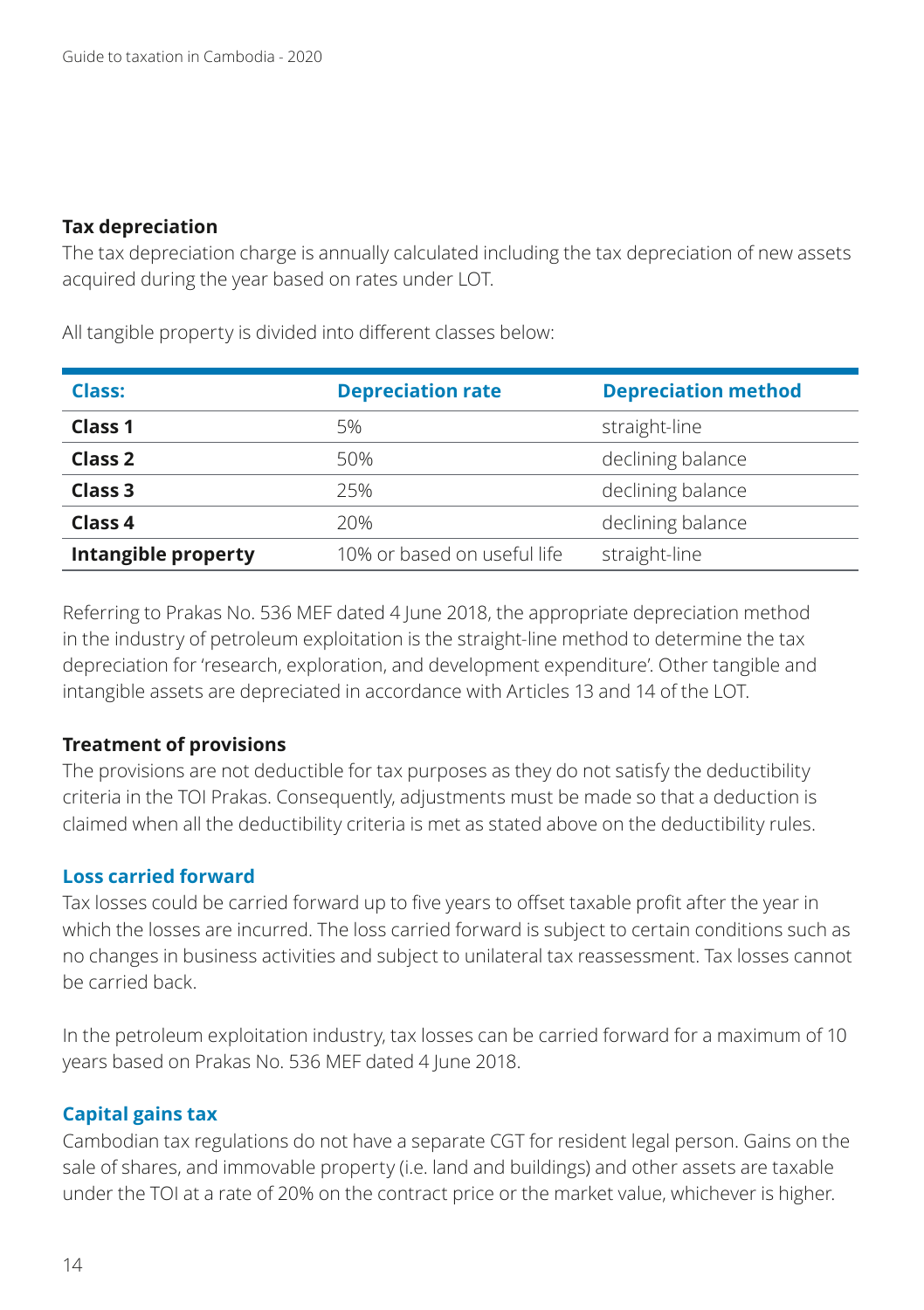#### **Tax depreciation**

The tax depreciation charge is annually calculated including the tax depreciation of new assets acquired during the year based on rates under LOT.

| <b>Class:</b>       | <b>Depreciation rate</b>    | <b>Depreciation method</b> |
|---------------------|-----------------------------|----------------------------|
| <b>Class 1</b>      | 5%                          | straight-line              |
| Class <sub>2</sub>  | 50%                         | declining balance          |
| Class <sub>3</sub>  | 25%                         | declining balance          |
| Class 4             | 20%                         | declining balance          |
| Intangible property | 10% or based on useful life | straight-line              |

All tangible property is divided into different classes below:

Referring to Prakas No. 536 MEF dated 4 June 2018, the appropriate depreciation method in the industry of petroleum exploitation is the straight-line method to determine the tax depreciation for 'research, exploration, and development expenditure'. Other tangible and intangible assets are depreciated in accordance with Articles 13 and 14 of the LOT.

#### **Treatment of provisions**

The provisions are not deductible for tax purposes as they do not satisfy the deductibility criteria in the TOI Prakas. Consequently, adjustments must be made so that a deduction is claimed when all the deductibility criteria is met as stated above on the deductibility rules.

#### **Loss carried forward**

Tax losses could be carried forward up to five years to offset taxable profit after the year in which the losses are incurred. The loss carried forward is subject to certain conditions such as no changes in business activities and subject to unilateral tax reassessment. Tax losses cannot be carried back.

In the petroleum exploitation industry, tax losses can be carried forward for a maximum of 10 years based on Prakas No. 536 MEF dated 4 June 2018.

#### **Capital gains tax**

Cambodian tax regulations do not have a separate CGT for resident legal person. Gains on the sale of shares, and immovable property (i.e. land and buildings) and other assets are taxable under the TOI at a rate of 20% on the contract price or the market value, whichever is higher.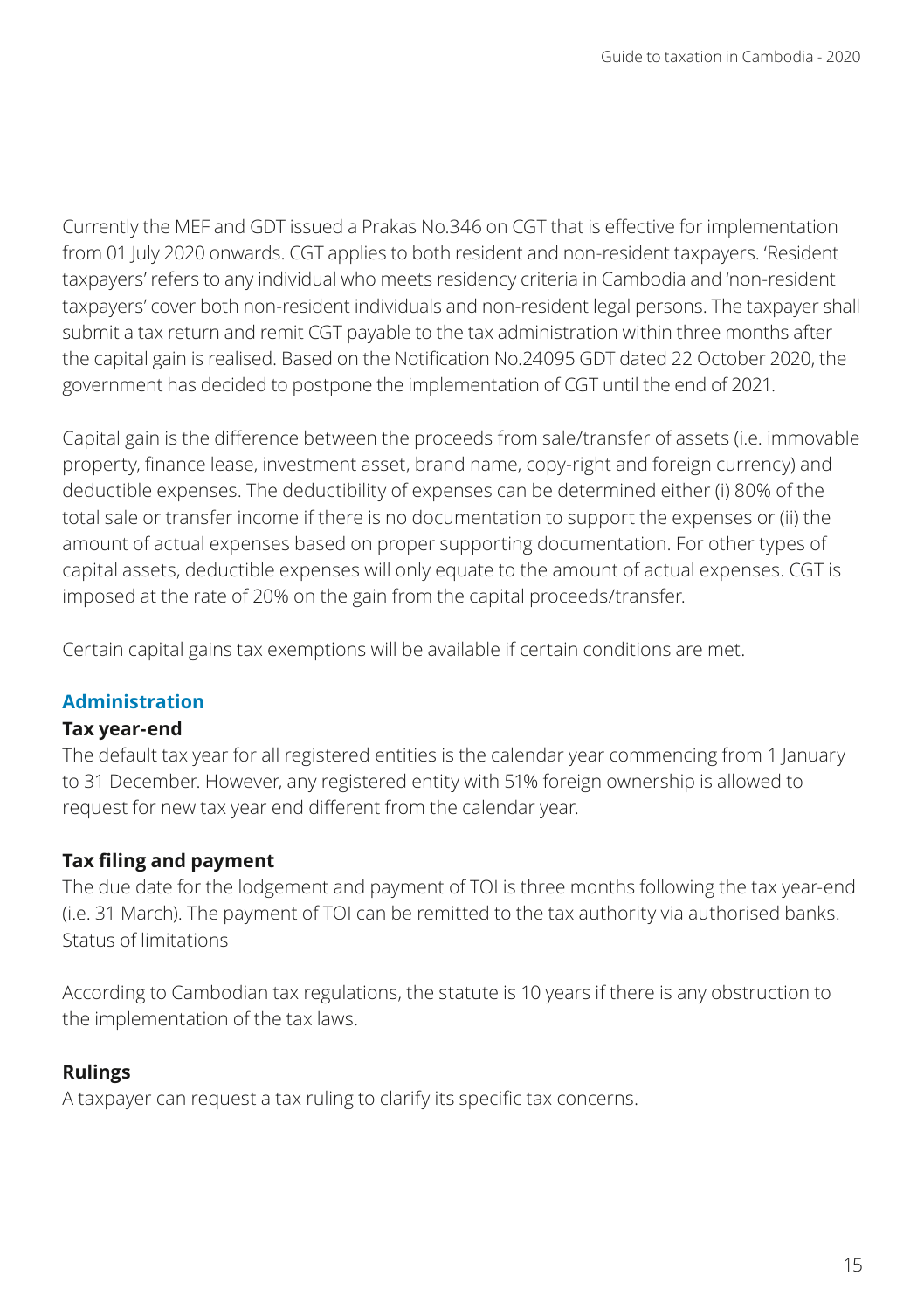Currently the MEF and GDT issued a Prakas No.346 on CGT that is effective for implementation from 01 July 2020 onwards. CGT applies to both resident and non-resident taxpayers. 'Resident taxpayers' refers to any individual who meets residency criteria in Cambodia and 'non-resident taxpayers' cover both non-resident individuals and non-resident legal persons. The taxpayer shall submit a tax return and remit CGT payable to the tax administration within three months after the capital gain is realised. Based on the Notification No.24095 GDT dated 22 October 2020, the government has decided to postpone the implementation of CGT until the end of 2021.

Capital gain is the difference between the proceeds from sale/transfer of assets (i.e. immovable property, finance lease, investment asset, brand name, copy-right and foreign currency) and deductible expenses. The deductibility of expenses can be determined either (i) 80% of the total sale or transfer income if there is no documentation to support the expenses or (ii) the amount of actual expenses based on proper supporting documentation. For other types of capital assets, deductible expenses will only equate to the amount of actual expenses. CGT is imposed at the rate of 20% on the gain from the capital proceeds/transfer.

Certain capital gains tax exemptions will be available if certain conditions are met.

# **Administration**

# **Tax year-end**

The default tax year for all registered entities is the calendar year commencing from 1 January to 31 December. However, any registered entity with 51% foreign ownership is allowed to request for new tax year end different from the calendar year.

# **Tax filing and payment**

The due date for the lodgement and payment of TOI is three months following the tax year-end (i.e. 31 March). The payment of TOI can be remitted to the tax authority via authorised banks. Status of limitations

According to Cambodian tax regulations, the statute is 10 years if there is any obstruction to the implementation of the tax laws.

# **Rulings**

A taxpayer can request a tax ruling to clarify its specific tax concerns.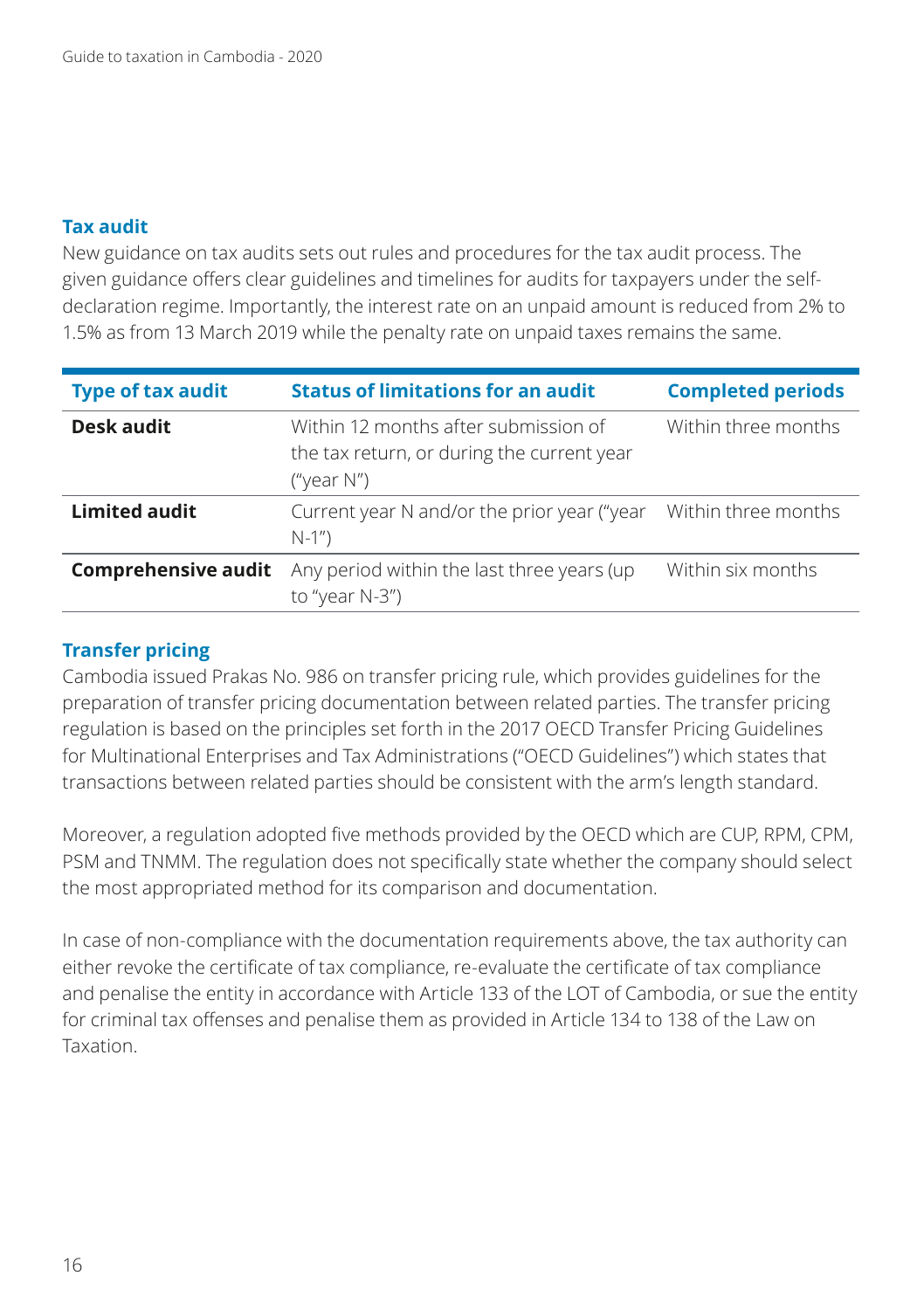#### **Tax audit**

New guidance on tax audits sets out rules and procedures for the tax audit process. The given guidance offers clear guidelines and timelines for audits for taxpayers under the selfdeclaration regime. Importantly, the interest rate on an unpaid amount is reduced from 2% to 1.5% as from 13 March 2019 while the penalty rate on unpaid taxes remains the same.

| <b>Type of tax audit</b>   | <b>Status of limitations for an audit</b>                                                           | <b>Completed periods</b> |
|----------------------------|-----------------------------------------------------------------------------------------------------|--------------------------|
| Desk audit                 | Within 12 months after submission of<br>the tax return, or during the current year<br>("year $N$ ") | Within three months      |
| <b>Limited audit</b>       | Current year N and/or the prior year ("year<br>$N-1"$                                               | Within three months      |
| <b>Comprehensive audit</b> | Any period within the last three years (up<br>to "year $N-3$ ")                                     | Within six months        |

#### **Transfer pricing**

Cambodia issued Prakas No. 986 on transfer pricing rule, which provides guidelines for the preparation of transfer pricing documentation between related parties. The transfer pricing regulation is based on the principles set forth in the 2017 OECD Transfer Pricing Guidelines for Multinational Enterprises and Tax Administrations ("OECD Guidelines") which states that transactions between related parties should be consistent with the arm's length standard.

Moreover, a regulation adopted five methods provided by the OECD which are CUP, RPM, CPM, PSM and TNMM. The regulation does not specifically state whether the company should select the most appropriated method for its comparison and documentation.

In case of non-compliance with the documentation requirements above, the tax authority can either revoke the certificate of tax compliance, re-evaluate the certificate of tax compliance and penalise the entity in accordance with Article 133 of the LOT of Cambodia, or sue the entity for criminal tax offenses and penalise them as provided in Article 134 to 138 of the Law on Taxation.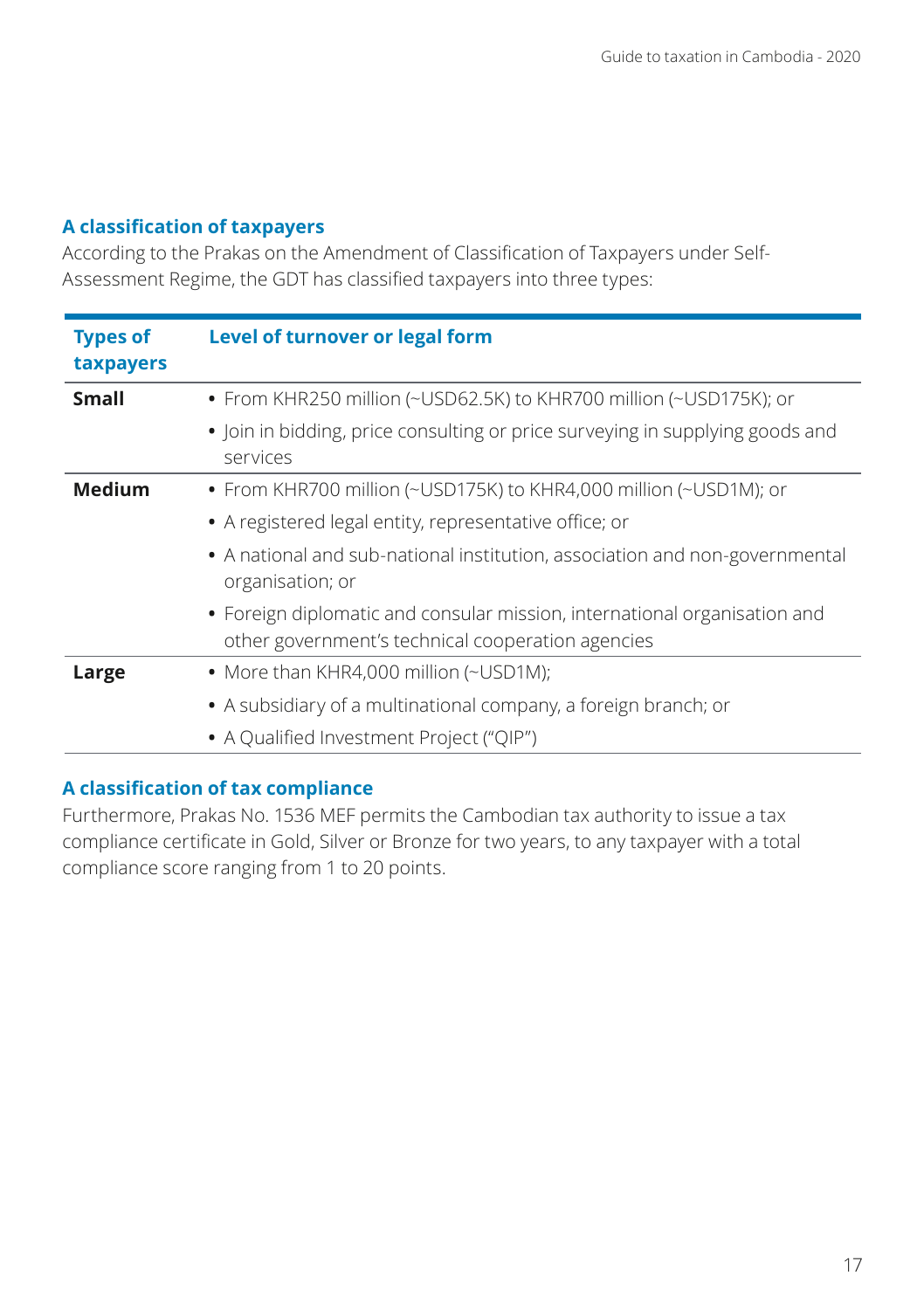### **A classification of taxpayers**

According to the Prakas on the Amendment of Classification of Taxpayers under Self-Assessment Regime, the GDT has classified taxpayers into three types:

| <b>Types of</b><br>taxpayers | Level of turnover or legal form                                                                                                |
|------------------------------|--------------------------------------------------------------------------------------------------------------------------------|
| <b>Small</b>                 | • From KHR250 million (~USD62.5K) to KHR700 million (~USD175K); or                                                             |
|                              | • Join in bidding, price consulting or price surveying in supplying goods and<br>services                                      |
| <b>Medium</b>                | • From KHR700 million (~USD175K) to KHR4,000 million (~USD1M); or                                                              |
|                              | • A registered legal entity, representative office; or                                                                         |
|                              | • A national and sub-national institution, association and non-governmental<br>organisation; or                                |
|                              | • Foreign diplomatic and consular mission, international organisation and<br>other government's technical cooperation agencies |
| Large                        | • More than KHR4,000 million (~USD1M);                                                                                         |
|                              | • A subsidiary of a multinational company, a foreign branch; or                                                                |
|                              | • A Qualified Investment Project ("OIP")                                                                                       |

# **A classification of tax compliance**

Furthermore, Prakas No. 1536 MEF permits the Cambodian tax authority to issue a tax compliance certificate in Gold, Silver or Bronze for two years, to any taxpayer with a total compliance score ranging from 1 to 20 points.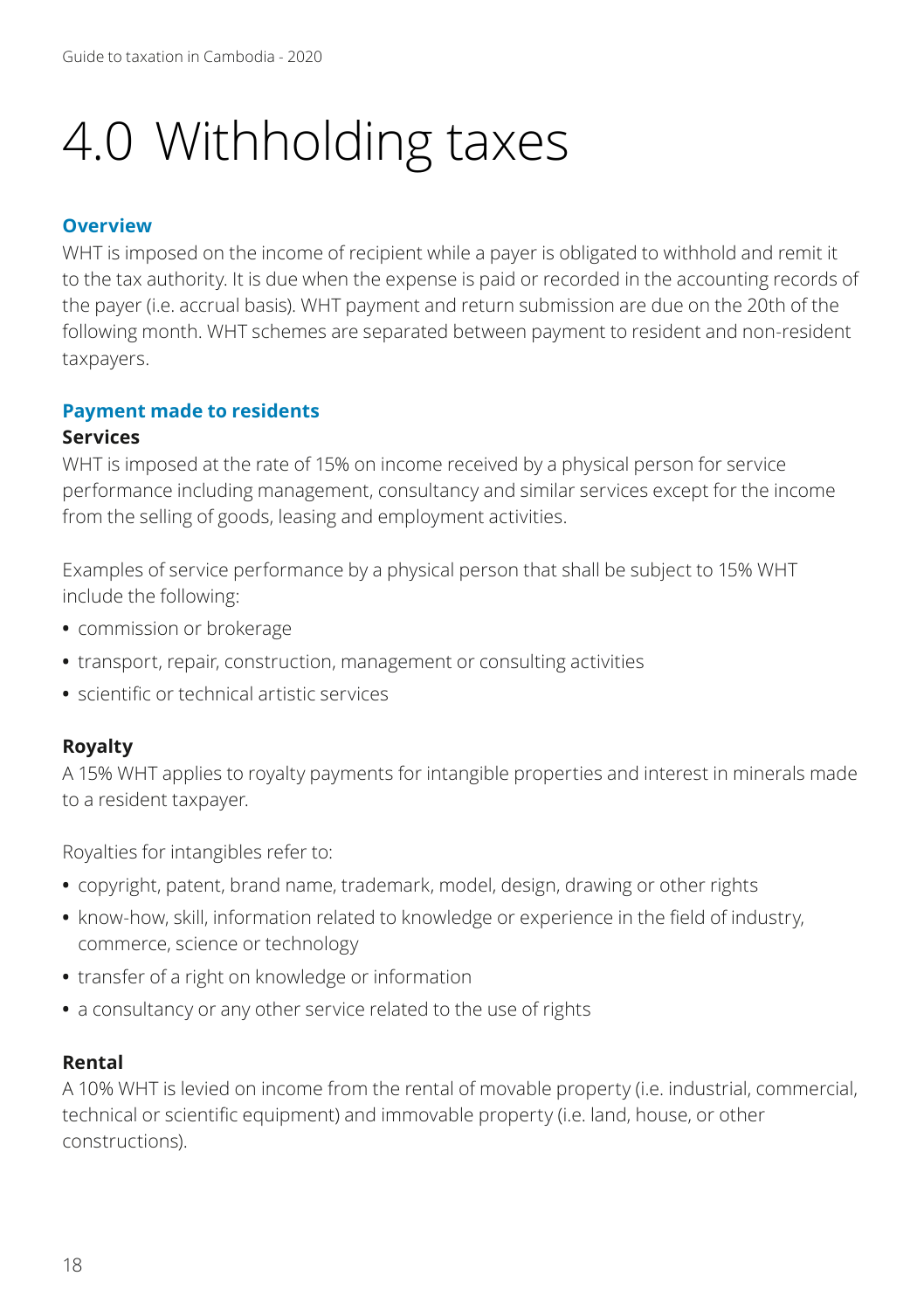# 4.0 Withholding taxes

#### **Overview**

WHT is imposed on the income of recipient while a payer is obligated to withhold and remit it to the tax authority. It is due when the expense is paid or recorded in the accounting records of the payer (i.e. accrual basis). WHT payment and return submission are due on the 20th of the following month. WHT schemes are separated between payment to resident and non-resident taxpayers.

#### **Payment made to residents**

#### **Services**

WHT is imposed at the rate of 15% on income received by a physical person for service performance including management, consultancy and similar services except for the income from the selling of goods, leasing and employment activities.

Examples of service performance by a physical person that shall be subject to 15% WHT include the following:

- **•** commission or brokerage
- **•** transport, repair, construction, management or consulting activities
- **•** scientific or technical artistic services

#### **Royalty**

A 15% WHT applies to royalty payments for intangible properties and interest in minerals made to a resident taxpayer.

Royalties for intangibles refer to:

- **•** copyright, patent, brand name, trademark, model, design, drawing or other rights
- **•** know-how, skill, information related to knowledge or experience in the field of industry, commerce, science or technology
- **•** transfer of a right on knowledge or information
- **•** a consultancy or any other service related to the use of rights

#### **Rental**

A 10% WHT is levied on income from the rental of movable property (i.e. industrial, commercial, technical or scientific equipment) and immovable property (i.e. land, house, or other constructions).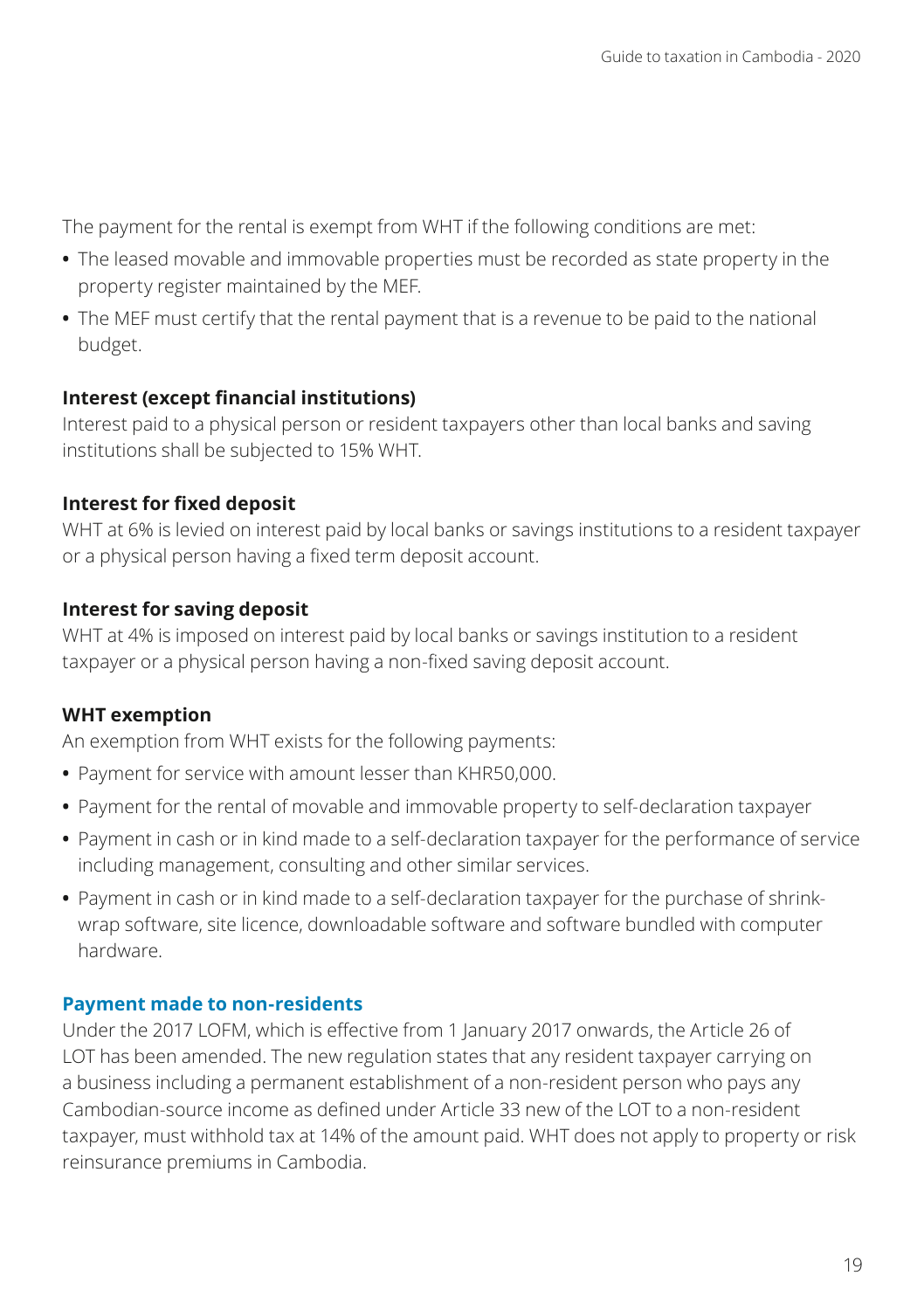The payment for the rental is exempt from WHT if the following conditions are met:

- **•** The leased movable and immovable properties must be recorded as state property in the property register maintained by the MEF.
- **•** The MEF must certify that the rental payment that is a revenue to be paid to the national budget.

#### **Interest (except financial institutions)**

Interest paid to a physical person or resident taxpayers other than local banks and saving institutions shall be subjected to 15% WHT.

#### **Interest for fixed deposit**

WHT at 6% is levied on interest paid by local banks or savings institutions to a resident taxpayer or a physical person having a fixed term deposit account.

### **Interest for saving deposit**

WHT at 4% is imposed on interest paid by local banks or savings institution to a resident taxpayer or a physical person having a non-fixed saving deposit account.

# **WHT exemption**

An exemption from WHT exists for the following payments:

- **•** Payment for service with amount lesser than KHR50,000.
- **•** Payment for the rental of movable and immovable property to self-declaration taxpayer
- **•** Payment in cash or in kind made to a self-declaration taxpayer for the performance of service including management, consulting and other similar services.
- **•** Payment in cash or in kind made to a self-declaration taxpayer for the purchase of shrinkwrap software, site licence, downloadable software and software bundled with computer hardware.

#### **Payment made to non-residents**

Under the 2017 LOFM, which is effective from 1 January 2017 onwards, the Article 26 of LOT has been amended. The new regulation states that any resident taxpayer carrying on a business including a permanent establishment of a non-resident person who pays any Cambodian-source income as defined under Article 33 new of the LOT to a non-resident taxpayer, must withhold tax at 14% of the amount paid. WHT does not apply to property or risk reinsurance premiums in Cambodia.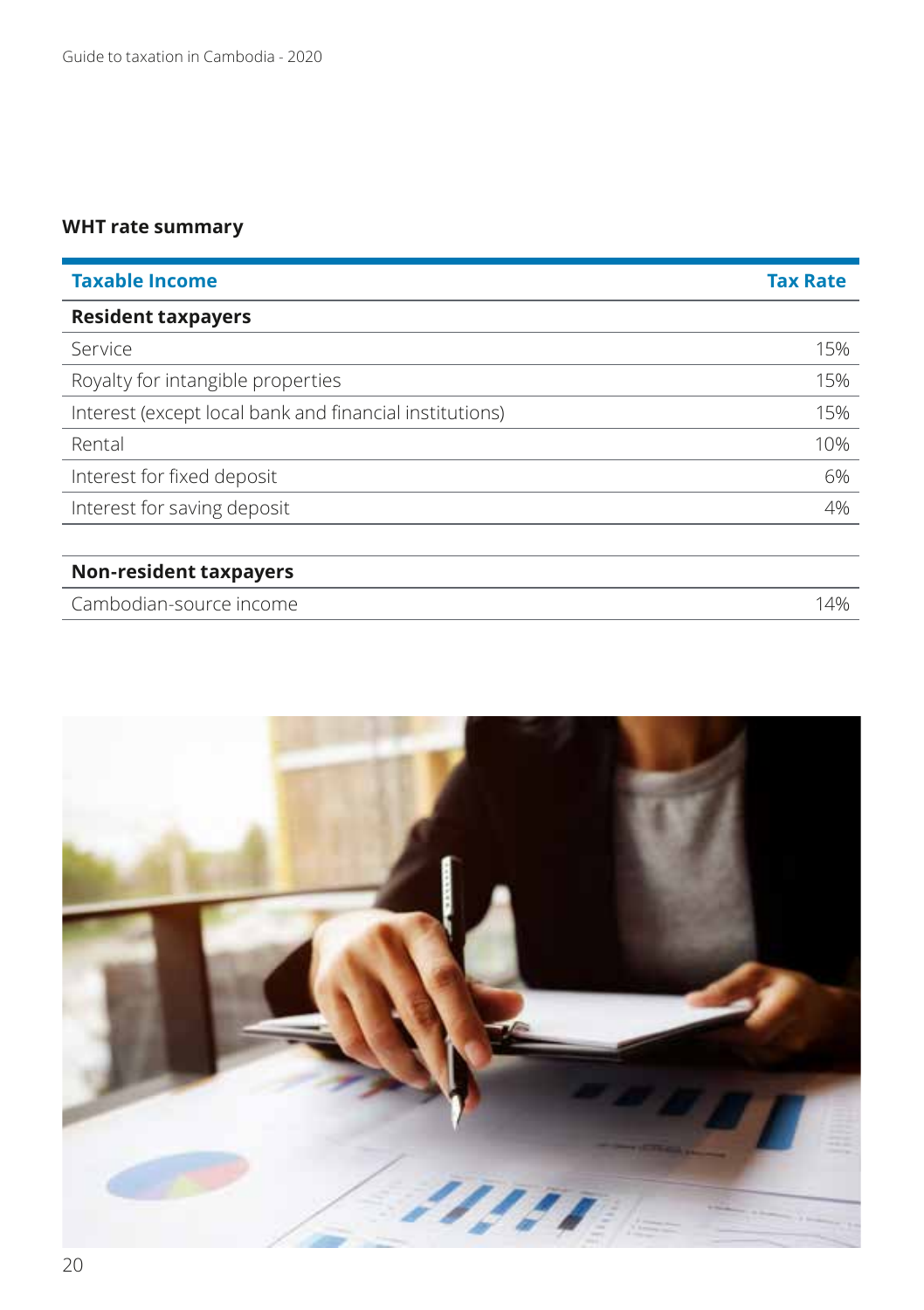# **WHT rate summary**

| <b>Taxable Income</b>                                   | <b>Tax Rate</b> |
|---------------------------------------------------------|-----------------|
| <b>Resident taxpayers</b>                               |                 |
| Service                                                 | 15%             |
| Royalty for intangible properties                       | 15%             |
| Interest (except local bank and financial institutions) | 15%             |
| Rental                                                  | 10%             |
| Interest for fixed deposit                              | 6%              |
| Interest for saving deposit                             | 4%              |
|                                                         |                 |
| <b>Non-resident taxpayers</b>                           |                 |
| Cambodian-source income                                 | 14%             |

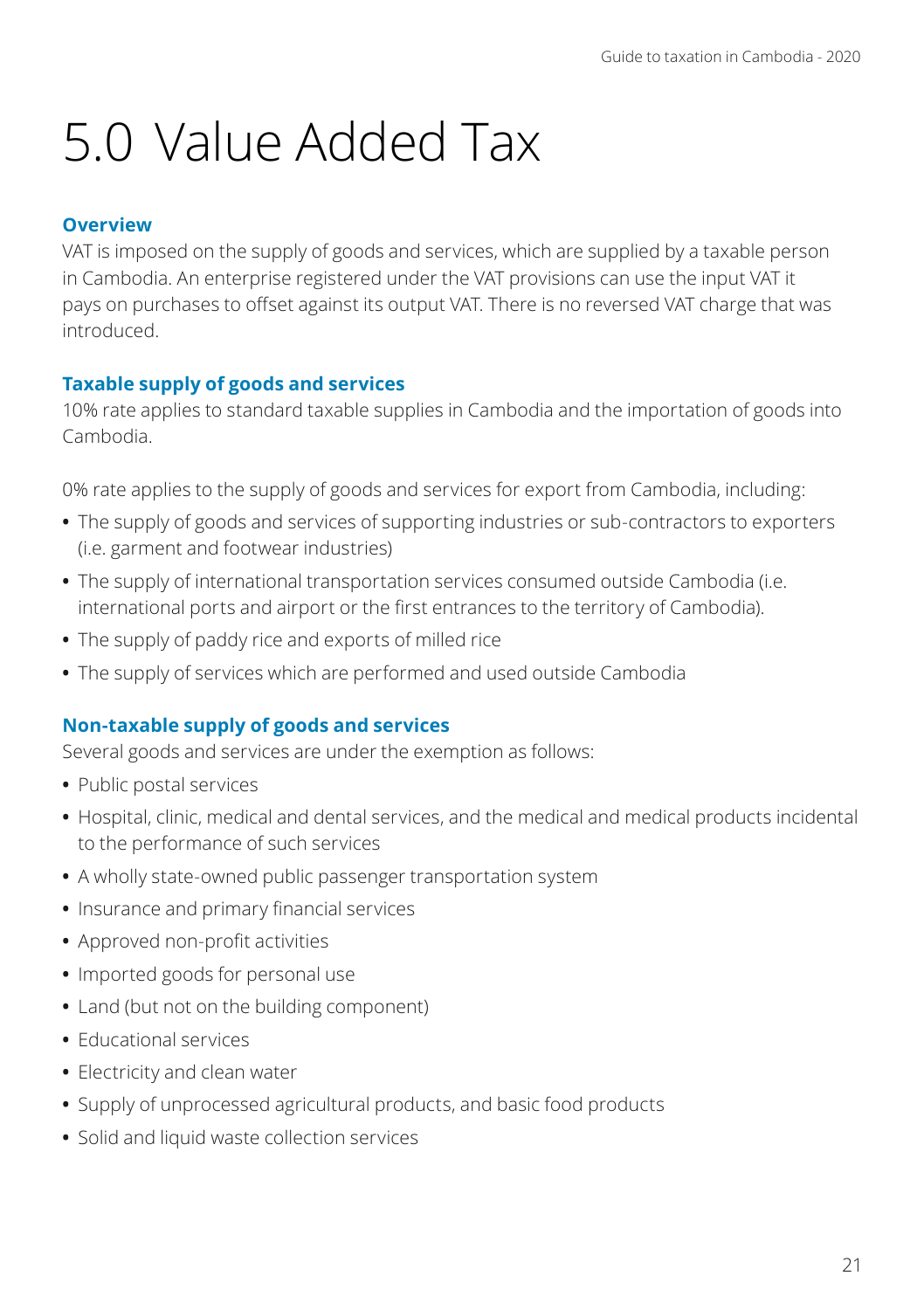# 5.0 Value Added Tax

### **Overview**

VAT is imposed on the supply of goods and services, which are supplied by a taxable person in Cambodia. An enterprise registered under the VAT provisions can use the input VAT it pays on purchases to offset against its output VAT. There is no reversed VAT charge that was introduced.

### **Taxable supply of goods and services**

10% rate applies to standard taxable supplies in Cambodia and the importation of goods into Cambodia.

0% rate applies to the supply of goods and services for export from Cambodia, including:

- **•** The supply of goods and services of supporting industries or sub-contractors to exporters (i.e. garment and footwear industries)
- **•** The supply of international transportation services consumed outside Cambodia (i.e. international ports and airport or the first entrances to the territory of Cambodia).
- **•** The supply of paddy rice and exports of milled rice
- **•** The supply of services which are performed and used outside Cambodia

# **Non-taxable supply of goods and services**

Several goods and services are under the exemption as follows:

- **•** Public postal services
- **•** Hospital, clinic, medical and dental services, and the medical and medical products incidental to the performance of such services
- **•** A wholly state-owned public passenger transportation system
- **•** Insurance and primary financial services
- **•** Approved non-profit activities
- **•** Imported goods for personal use
- **•** Land (but not on the building component)
- **•** Educational services
- **•** Electricity and clean water
- **•** Supply of unprocessed agricultural products, and basic food products
- **•** Solid and liquid waste collection services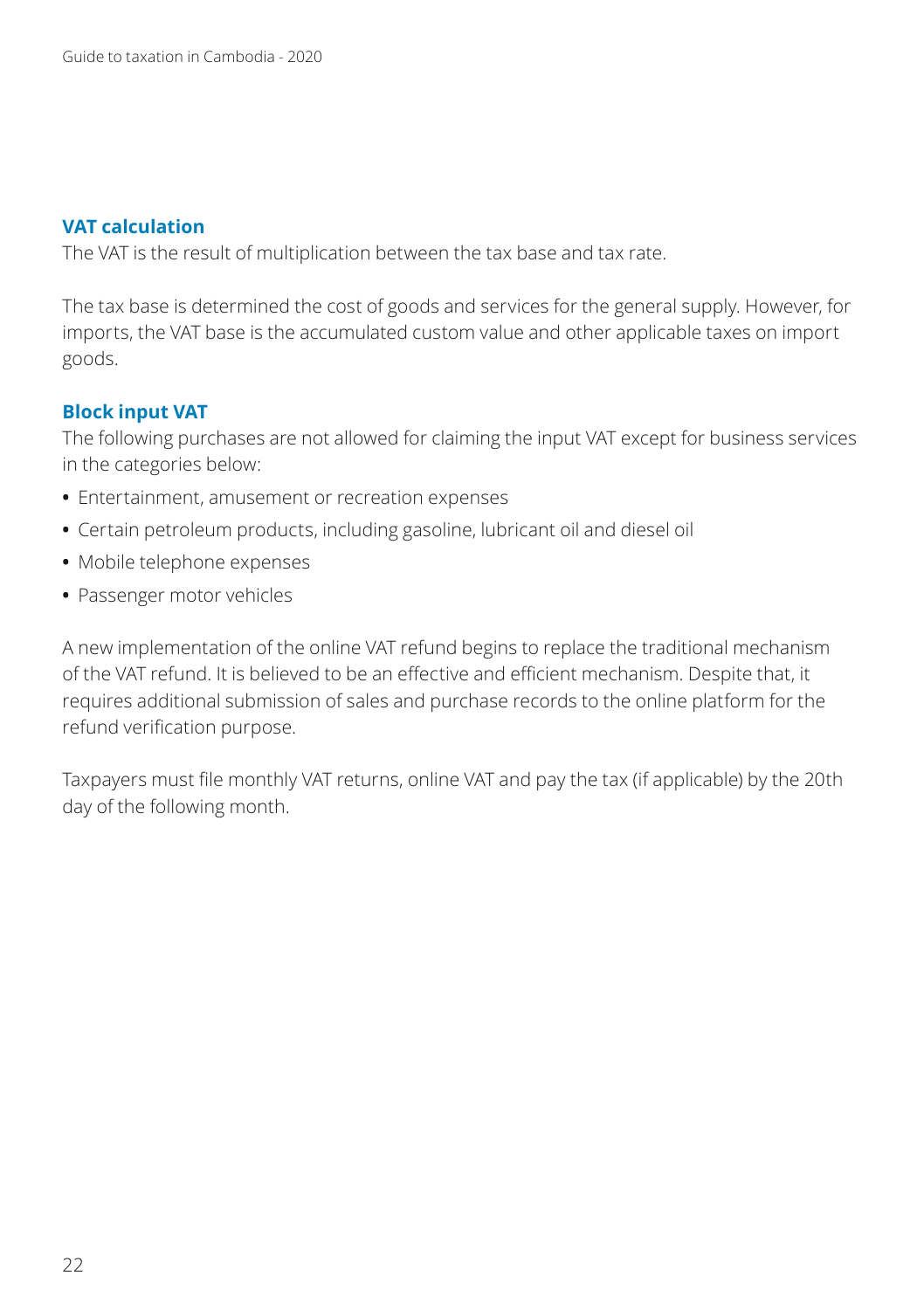#### **VAT calculation**

The VAT is the result of multiplication between the tax base and tax rate.

The tax base is determined the cost of goods and services for the general supply. However, for imports, the VAT base is the accumulated custom value and other applicable taxes on import goods.

#### **Block input VAT**

The following purchases are not allowed for claiming the input VAT except for business services in the categories below:

- **•** Entertainment, amusement or recreation expenses
- **•** Certain petroleum products, including gasoline, lubricant oil and diesel oil
- **•** Mobile telephone expenses
- **•** Passenger motor vehicles

A new implementation of the online VAT refund begins to replace the traditional mechanism of the VAT refund. It is believed to be an effective and efficient mechanism. Despite that, it requires additional submission of sales and purchase records to the online platform for the refund verification purpose.

Taxpayers must file monthly VAT returns, online VAT and pay the tax (if applicable) by the 20th day of the following month.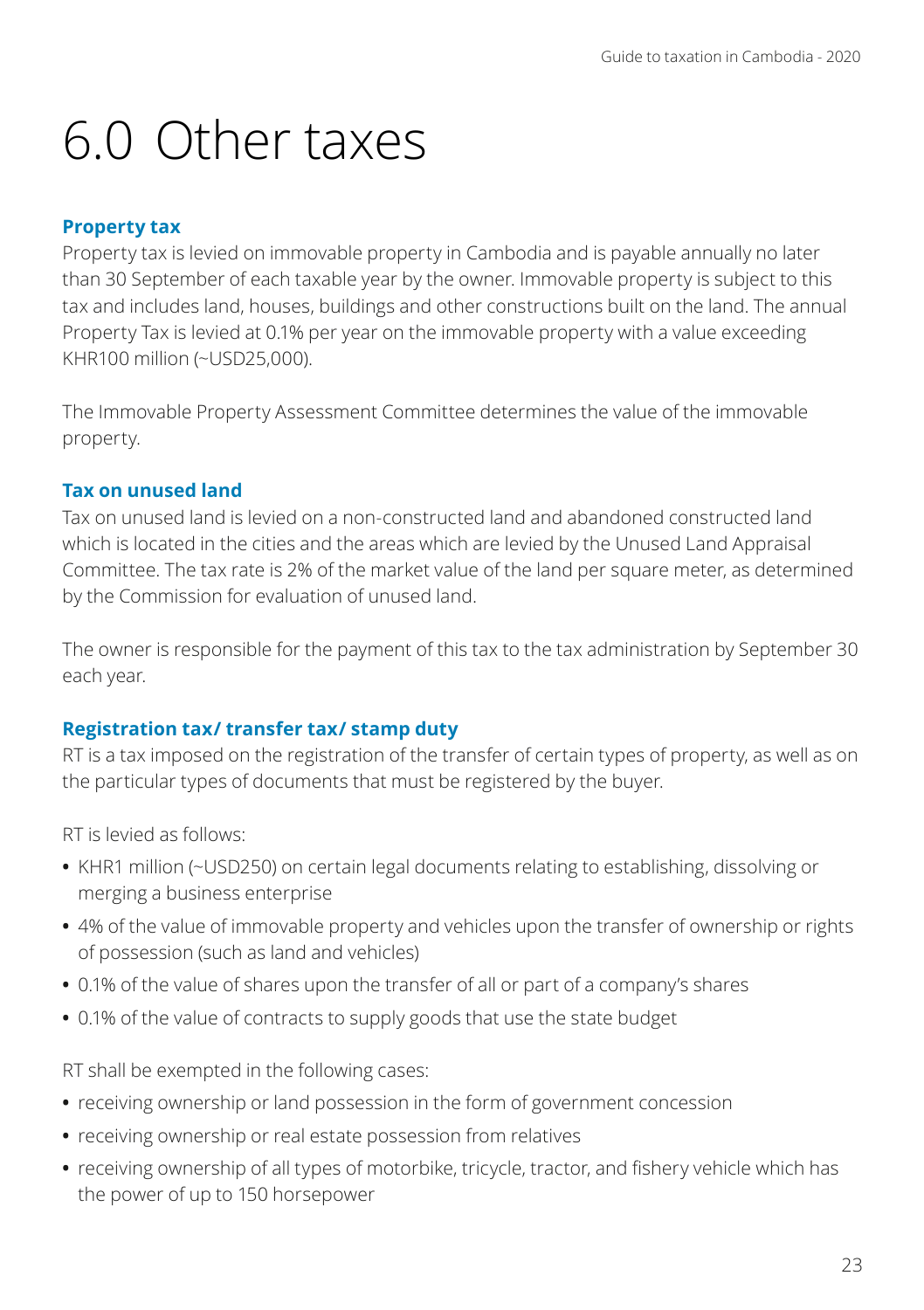# 6.0 Other taxes

#### **Property tax**

Property tax is levied on immovable property in Cambodia and is payable annually no later than 30 September of each taxable year by the owner. Immovable property is subject to this tax and includes land, houses, buildings and other constructions built on the land. The annual Property Tax is levied at 0.1% per year on the immovable property with a value exceeding KHR100 million (~USD25,000).

The Immovable Property Assessment Committee determines the value of the immovable property.

### **Tax on unused land**

Tax on unused land is levied on a non-constructed land and abandoned constructed land which is located in the cities and the areas which are levied by the Unused Land Appraisal Committee. The tax rate is 2% of the market value of the land per square meter, as determined by the Commission for evaluation of unused land.

The owner is responsible for the payment of this tax to the tax administration by September 30 each year.

# **Registration tax/ transfer tax/ stamp duty**

RT is a tax imposed on the registration of the transfer of certain types of property, as well as on the particular types of documents that must be registered by the buyer.

RT is levied as follows:

- **•** KHR1 million (~USD250) on certain legal documents relating to establishing, dissolving or merging a business enterprise
- **•** 4% of the value of immovable property and vehicles upon the transfer of ownership or rights of possession (such as land and vehicles)
- **•** 0.1% of the value of shares upon the transfer of all or part of a company's shares
- **•** 0.1% of the value of contracts to supply goods that use the state budget

RT shall be exempted in the following cases:

- **•** receiving ownership or land possession in the form of government concession
- **•** receiving ownership or real estate possession from relatives
- **•** receiving ownership of all types of motorbike, tricycle, tractor, and fishery vehicle which has the power of up to 150 horsepower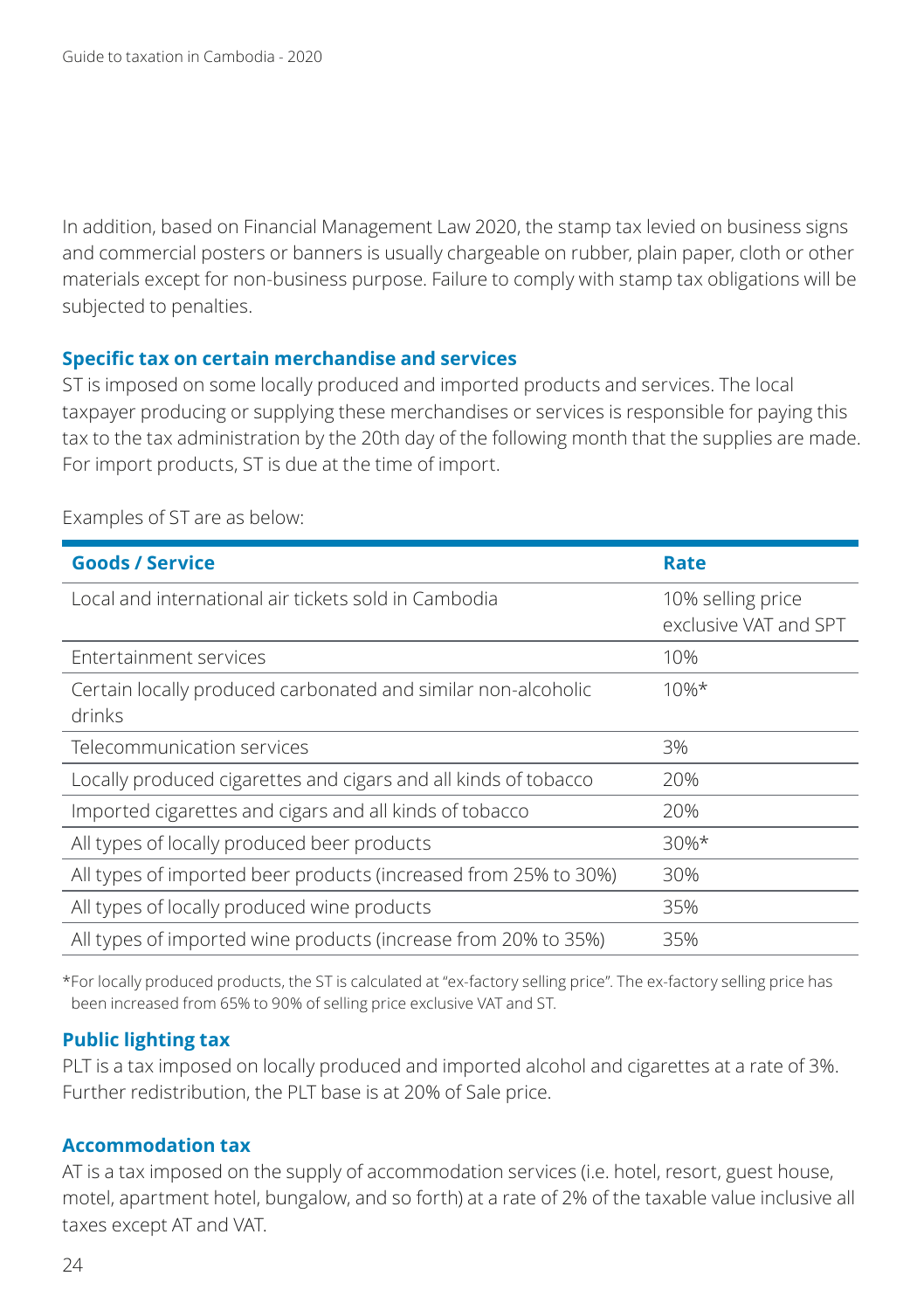In addition, based on Financial Management Law 2020, the stamp tax levied on business signs and commercial posters or banners is usually chargeable on rubber, plain paper, cloth or other materials except for non-business purpose. Failure to comply with stamp tax obligations will be subjected to penalties.

#### **Specific tax on certain merchandise and services**

ST is imposed on some locally produced and imported products and services. The local taxpayer producing or supplying these merchandises or services is responsible for paying this tax to the tax administration by the 20th day of the following month that the supplies are made. For import products, ST is due at the time of import.

| <b>Goods / Service</b>                                                  | Rate                                       |
|-------------------------------------------------------------------------|--------------------------------------------|
| Local and international air tickets sold in Cambodia                    | 10% selling price<br>exclusive VAT and SPT |
| Entertainment services                                                  | 10%                                        |
| Certain locally produced carbonated and similar non-alcoholic<br>drinks | $10%$ *                                    |
| Telecommunication services                                              | 3%                                         |
| Locally produced cigarettes and cigars and all kinds of tobacco         | 20%                                        |
| Imported cigarettes and cigars and all kinds of tobacco                 | 20%                                        |
| All types of locally produced beer products                             | $30\%*$                                    |
| All types of imported beer products (increased from 25% to 30%)         | 30%                                        |
| All types of locally produced wine products                             | 35%                                        |
| All types of imported wine products (increase from 20% to 35%)          | 35%                                        |

Examples of ST are as below:

\*For locally produced products, the ST is calculated at "ex-factory selling price". The ex-factory selling price has been increased from 65% to 90% of selling price exclusive VAT and ST.

#### **Public lighting tax**

PLT is a tax imposed on locally produced and imported alcohol and cigarettes at a rate of 3%. Further redistribution, the PLT base is at 20% of Sale price.

#### **Accommodation tax**

AT is a tax imposed on the supply of accommodation services (i.e. hotel, resort, guest house, motel, apartment hotel, bungalow, and so forth) at a rate of 2% of the taxable value inclusive all taxes except AT and VAT.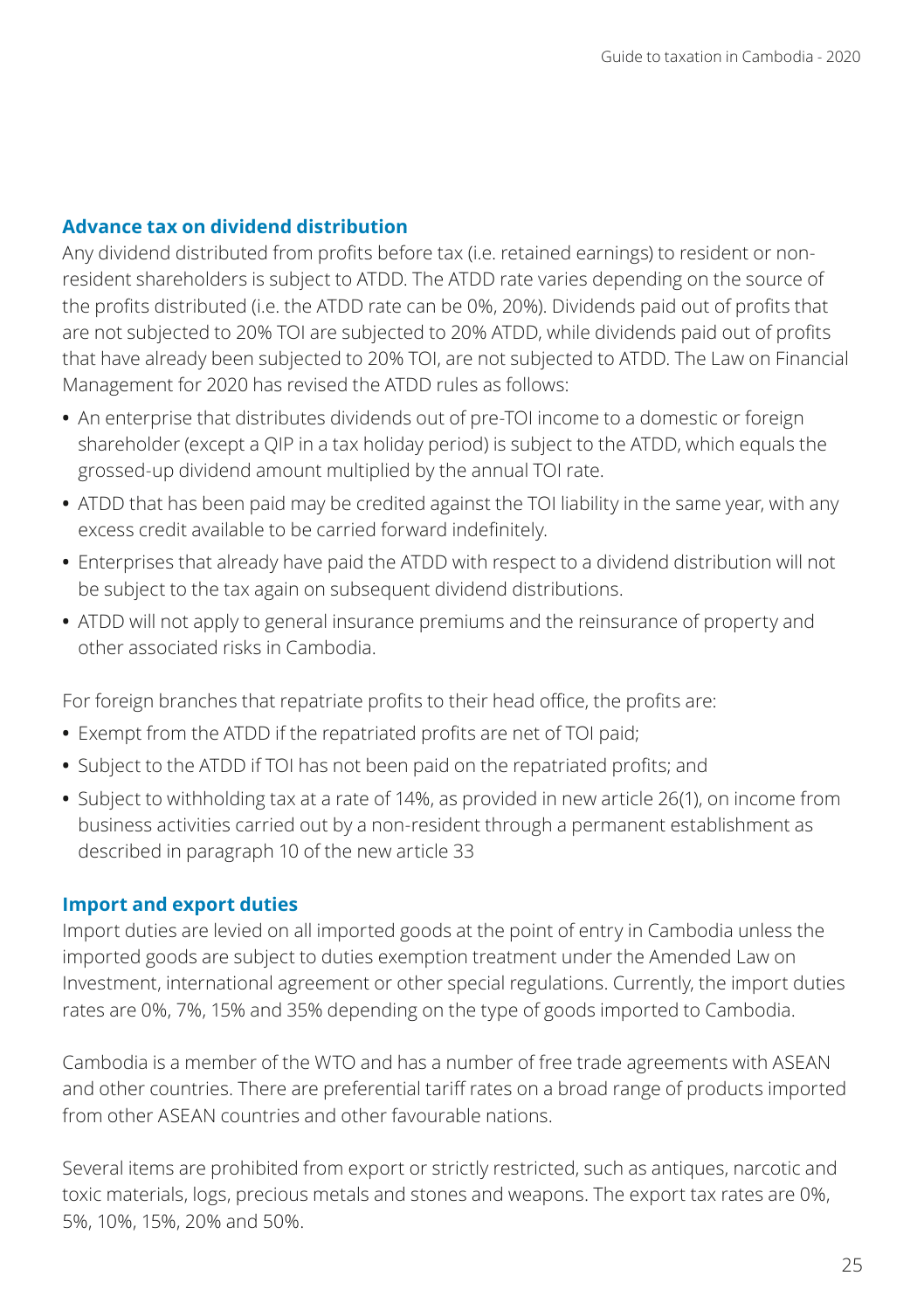#### **Advance tax on dividend distribution**

Any dividend distributed from profits before tax (i.e. retained earnings) to resident or nonresident shareholders is subject to ATDD. The ATDD rate varies depending on the source of the profits distributed (i.e. the ATDD rate can be 0%, 20%). Dividends paid out of profits that are not subjected to 20% TOI are subjected to 20% ATDD, while dividends paid out of profits that have already been subjected to 20% TOI, are not subjected to ATDD. The Law on Financial Management for 2020 has revised the ATDD rules as follows:

- **•** An enterprise that distributes dividends out of pre-TOI income to a domestic or foreign shareholder (except a QIP in a tax holiday period) is subject to the ATDD, which equals the grossed-up dividend amount multiplied by the annual TOI rate.
- **•** ATDD that has been paid may be credited against the TOI liability in the same year, with any excess credit available to be carried forward indefinitely.
- **•** Enterprises that already have paid the ATDD with respect to a dividend distribution will not be subject to the tax again on subsequent dividend distributions.
- **•** ATDD will not apply to general insurance premiums and the reinsurance of property and other associated risks in Cambodia.

For foreign branches that repatriate profits to their head office, the profits are:

- **•** Exempt from the ATDD if the repatriated profits are net of TOI paid;
- **•** Subject to the ATDD if TOI has not been paid on the repatriated profits; and
- **•** Subject to withholding tax at a rate of 14%, as provided in new article 26(1), on income from business activities carried out by a non-resident through a permanent establishment as described in paragraph 10 of the new article 33

#### **Import and export duties**

Import duties are levied on all imported goods at the point of entry in Cambodia unless the imported goods are subject to duties exemption treatment under the Amended Law on Investment, international agreement or other special regulations. Currently, the import duties rates are 0%, 7%, 15% and 35% depending on the type of goods imported to Cambodia.

Cambodia is a member of the WTO and has a number of free trade agreements with ASEAN and other countries. There are preferential tariff rates on a broad range of products imported from other ASEAN countries and other favourable nations.

Several items are prohibited from export or strictly restricted, such as antiques, narcotic and toxic materials, logs, precious metals and stones and weapons. The export tax rates are 0%, 5%, 10%, 15%, 20% and 50%.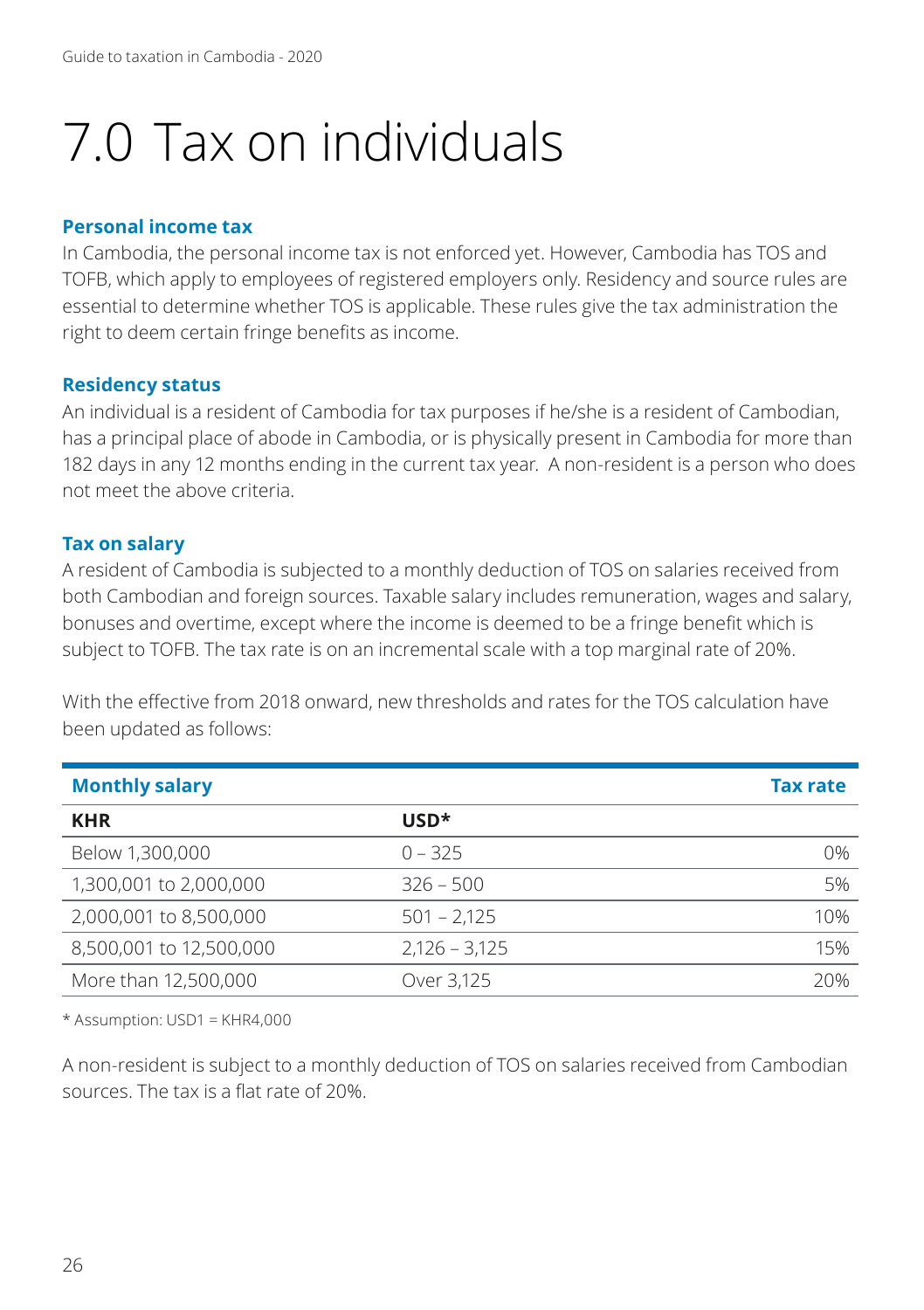# 7.0 Tax on individuals

#### **Personal income tax**

In Cambodia, the personal income tax is not enforced yet. However, Cambodia has TOS and TOFB, which apply to employees of registered employers only. Residency and source rules are essential to determine whether TOS is applicable. These rules give the tax administration the right to deem certain fringe benefits as income.

#### **Residency status**

An individual is a resident of Cambodia for tax purposes if he/she is a resident of Cambodian, has a principal place of abode in Cambodia, or is physically present in Cambodia for more than 182 days in any 12 months ending in the current tax year. A non-resident is a person who does not meet the above criteria.

#### **Tax on salary**

A resident of Cambodia is subjected to a monthly deduction of TOS on salaries received from both Cambodian and foreign sources. Taxable salary includes remuneration, wages and salary, bonuses and overtime, except where the income is deemed to be a fringe benefit which is subject to TOFB. The tax rate is on an incremental scale with a top marginal rate of 20%.

With the effective from 2018 onward, new thresholds and rates for the TOS calculation have been updated as follows:

| <b>Monthly salary</b>   |                 | <b>Tax rate</b> |
|-------------------------|-----------------|-----------------|
| <b>KHR</b>              | $USD*$          |                 |
| Below 1,300,000         | $0 - 325$       | 0%              |
| 1,300,001 to 2,000,000  | $326 - 500$     | 5%              |
| 2,000,001 to 8,500,000  | $501 - 2.125$   | 10%             |
| 8,500,001 to 12,500,000 | $2.126 - 3.125$ | 15%             |
| More than 12,500,000    | Over 3.125      | 20%             |

\* Assumption: USD1 = KHR4,000

A non-resident is subject to a monthly deduction of TOS on salaries received from Cambodian sources. The tax is a flat rate of 20%.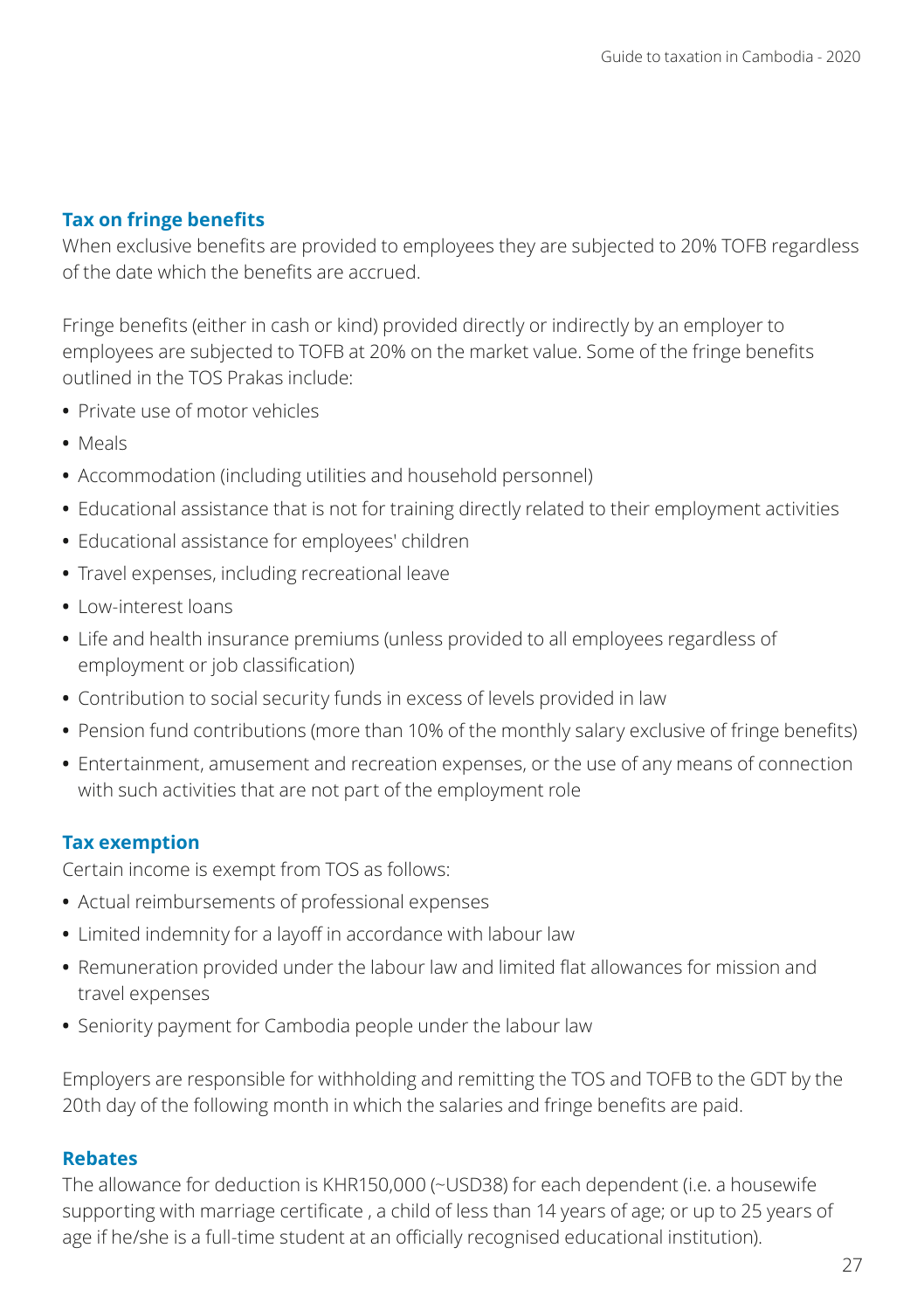# **Tax on fringe benefits**

When exclusive benefits are provided to employees they are subjected to 20% TOFB regardless of the date which the benefits are accrued.

Fringe benefits (either in cash or kind) provided directly or indirectly by an employer to employees are subjected to TOFB at 20% on the market value. Some of the fringe benefits outlined in the TOS Prakas include:

- **•** Private use of motor vehicles
- **•** Meals
- **•** Accommodation (including utilities and household personnel)
- **•** Educational assistance that is not for training directly related to their employment activities
- **•** Educational assistance for employees' children
- **•** Travel expenses, including recreational leave
- **•** Low-interest loans
- **•** Life and health insurance premiums (unless provided to all employees regardless of employment or job classification)
- **•** Contribution to social security funds in excess of levels provided in law
- **•** Pension fund contributions (more than 10% of the monthly salary exclusive of fringe benefits)
- **•** Entertainment, amusement and recreation expenses, or the use of any means of connection with such activities that are not part of the employment role

#### **Tax exemption**

Certain income is exempt from TOS as follows:

- **•** Actual reimbursements of professional expenses
- **•** Limited indemnity for a layoff in accordance with labour law
- **•** Remuneration provided under the labour law and limited flat allowances for mission and travel expenses
- **•** Seniority payment for Cambodia people under the labour law

Employers are responsible for withholding and remitting the TOS and TOFB to the GDT by the 20th day of the following month in which the salaries and fringe benefits are paid.

#### **Rebates**

The allowance for deduction is KHR150,000 (~USD38) for each dependent (i.e. a housewife supporting with marriage certificate , a child of less than 14 years of age; or up to 25 years of age if he/she is a full-time student at an officially recognised educational institution).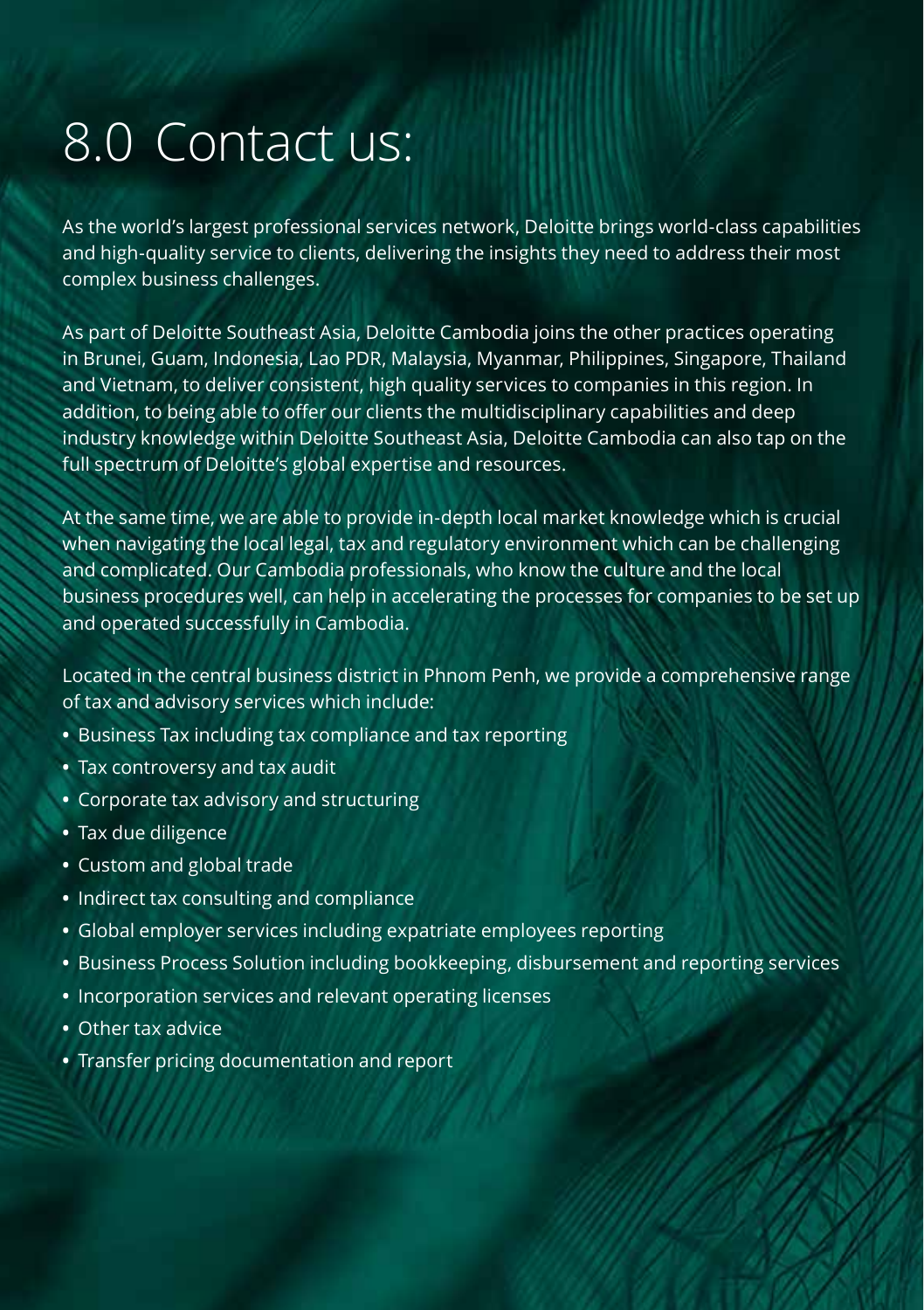# 8.0 Contact us:

As the world's largest professional services network, Deloitte brings world-class capabilities and high-quality service to clients, delivering the insights they need to address their most complex business challenges.

As part of Deloitte Southeast Asia, Deloitte Cambodia joins the other practices operating in Brunei, Guam, Indonesia, Lao PDR, Malaysia, Myanmar, Philippines, Singapore, Thailand and Vietnam, to deliver consistent, high quality services to companies in this region. In addition, to being able to offer our clients the multidisciplinary capabilities and deep industry knowledge within Deloitte Southeast Asia, Deloitte Cambodia can also tap on the full spectrum of Deloitte's global expertise and resources.

At the same time, we are able to provide in-depth local market knowledge which is crucial when navigating the local legal, tax and regulatory environment which can be challenging and complicated. Our Cambodia professionals, who know the culture and the local business procedures well, can help in accelerating the processes for companies to be set up and operated successfully in Cambodia.

Located in the central business district in Phnom Penh, we provide a comprehensive range of tax and advisory services which include:

- **•** Business Tax including tax compliance and tax reporting
- **•** Tax controversy and tax audit
- **•** Corporate tax advisory and structuring
- **•** Tax due diligence
- **•** Custom and global trade
- **•** Indirect tax consulting and compliance
- **•** Global employer services including expatriate employees reporting
- **•** Business Process Solution including bookkeeping, disbursement and reporting services
- **•** Incorporation services and relevant operating licenses
- **•** Other tax advice
- **•** Transfer pricing documentation and report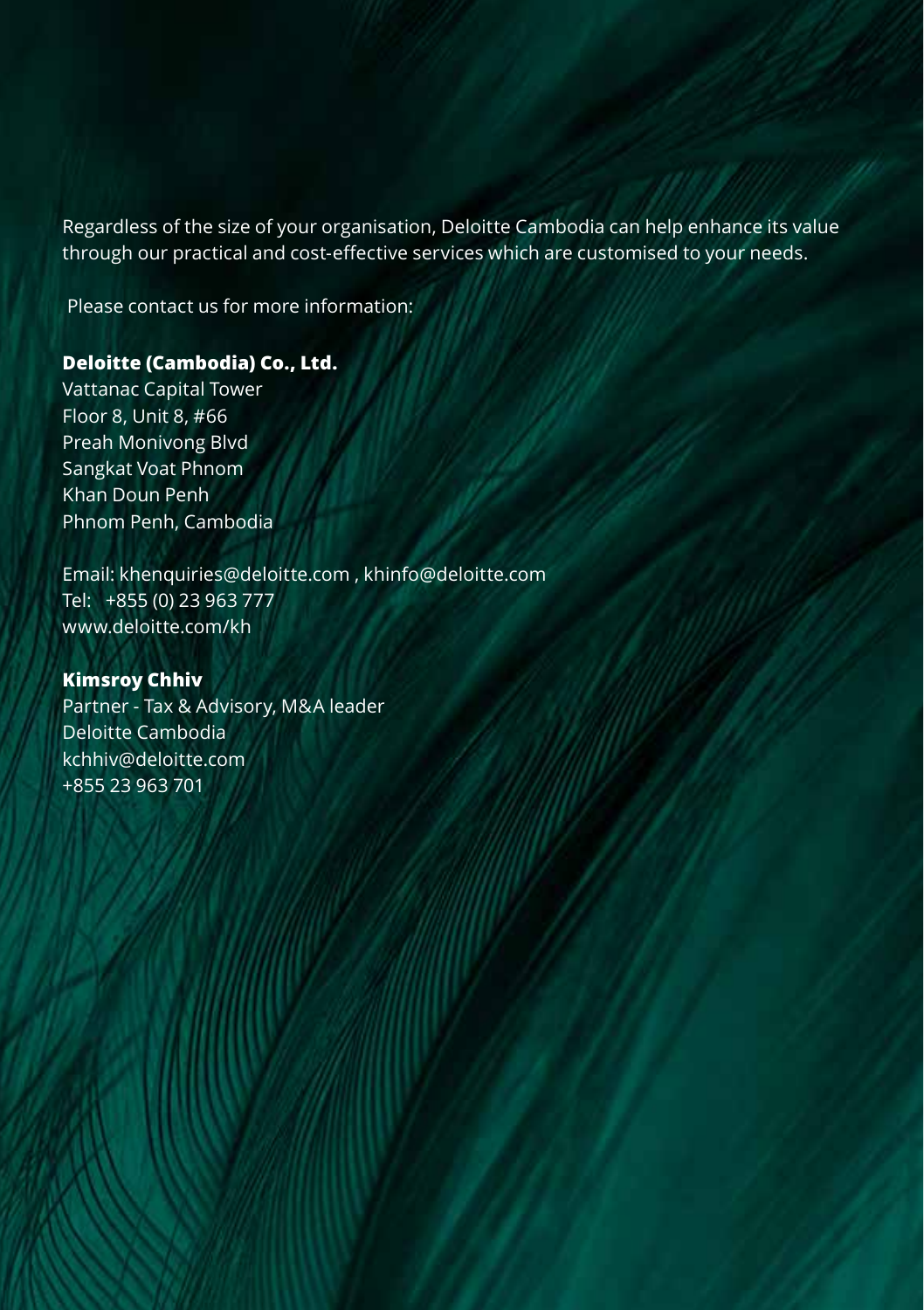Regardless of the size of your organisation, Deloitte Cambodia can help enhance its value through our practical and cost-effective services which are customised to your needs.

Please contact us for more information:

#### **Deloitte (Cambodia) Co., Ltd.**

Vattanac Capital Tower Floor 8, Unit 8, #66 Preah Monivong Blvd Sangkat Voat Phnom Khan Doun Penh Phnom Penh, Cambodia

Email: khenquiries@deloitte.com , khinfo@deloitte.com Tel: +855 (0) 23 963 777 www.deloitte.com/kh

#### **Kimsroy Chhiv**

Partner - Tax & Advisory, M&A leader Deloitte Cambodia kchhiv@deloitte.com +855 23 963 701